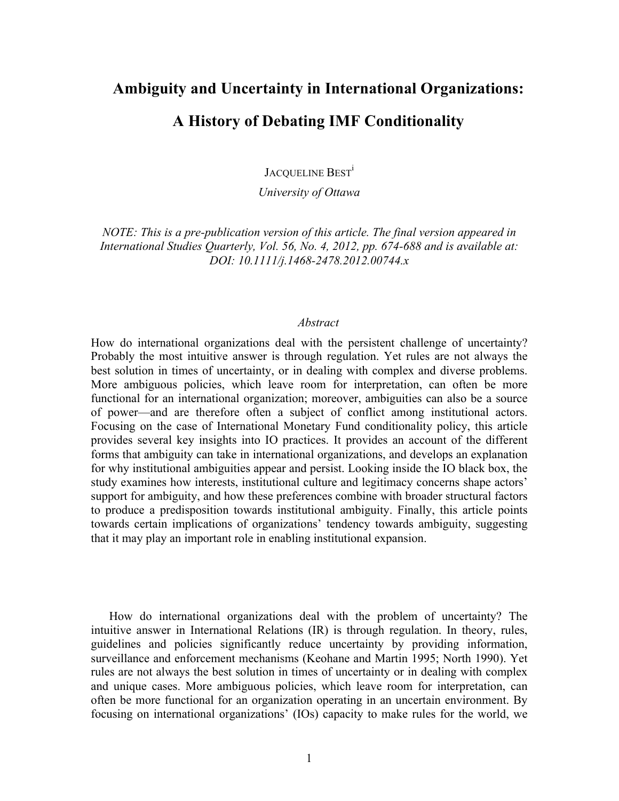## **Ambiguity and Uncertainty in International Organizations:**

# **A History of Debating IMF Conditionality**

JACQUELINE BEST<sup>i</sup>

*University of Ottawa*

*NOTE: This is a pre-publication version of this article. The final version appeared in International Studies Quarterly, Vol. 56, No. 4, 2012, pp. 674-688 and is available at: DOI: 10.1111/j.1468-2478.2012.00744.x*

#### *Abstract*

How do international organizations deal with the persistent challenge of uncertainty? Probably the most intuitive answer is through regulation. Yet rules are not always the best solution in times of uncertainty, or in dealing with complex and diverse problems. More ambiguous policies, which leave room for interpretation, can often be more functional for an international organization; moreover, ambiguities can also be a source of power—and are therefore often a subject of conflict among institutional actors. Focusing on the case of International Monetary Fund conditionality policy, this article provides several key insights into IO practices. It provides an account of the different forms that ambiguity can take in international organizations, and develops an explanation for why institutional ambiguities appear and persist. Looking inside the IO black box, the study examines how interests, institutional culture and legitimacy concerns shape actors' support for ambiguity, and how these preferences combine with broader structural factors to produce a predisposition towards institutional ambiguity. Finally, this article points towards certain implications of organizations' tendency towards ambiguity, suggesting that it may play an important role in enabling institutional expansion.

How do international organizations deal with the problem of uncertainty? The intuitive answer in International Relations (IR) is through regulation. In theory, rules, guidelines and policies significantly reduce uncertainty by providing information, surveillance and enforcement mechanisms (Keohane and Martin 1995; North 1990). Yet rules are not always the best solution in times of uncertainty or in dealing with complex and unique cases. More ambiguous policies, which leave room for interpretation, can often be more functional for an organization operating in an uncertain environment. By focusing on international organizations' (IOs) capacity to make rules for the world, we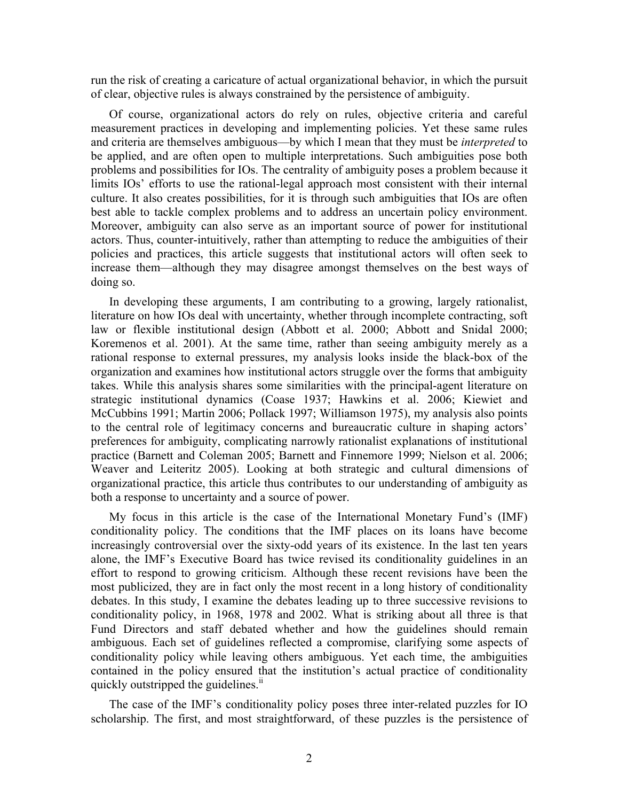run the risk of creating a caricature of actual organizational behavior, in which the pursuit of clear, objective rules is always constrained by the persistence of ambiguity.

Of course, organizational actors do rely on rules, objective criteria and careful measurement practices in developing and implementing policies. Yet these same rules and criteria are themselves ambiguous—by which I mean that they must be *interpreted* to be applied, and are often open to multiple interpretations. Such ambiguities pose both problems and possibilities for IOs. The centrality of ambiguity poses a problem because it limits IOs' efforts to use the rational-legal approach most consistent with their internal culture. It also creates possibilities, for it is through such ambiguities that IOs are often best able to tackle complex problems and to address an uncertain policy environment. Moreover, ambiguity can also serve as an important source of power for institutional actors. Thus, counter-intuitively, rather than attempting to reduce the ambiguities of their policies and practices, this article suggests that institutional actors will often seek to increase them—although they may disagree amongst themselves on the best ways of doing so.

In developing these arguments, I am contributing to a growing, largely rationalist, literature on how IOs deal with uncertainty, whether through incomplete contracting, soft law or flexible institutional design (Abbott et al. 2000; Abbott and Snidal 2000; Koremenos et al. 2001). At the same time, rather than seeing ambiguity merely as a rational response to external pressures, my analysis looks inside the black-box of the organization and examines how institutional actors struggle over the forms that ambiguity takes. While this analysis shares some similarities with the principal-agent literature on strategic institutional dynamics (Coase 1937; Hawkins et al. 2006; Kiewiet and McCubbins 1991; Martin 2006; Pollack 1997; Williamson 1975), my analysis also points to the central role of legitimacy concerns and bureaucratic culture in shaping actors' preferences for ambiguity, complicating narrowly rationalist explanations of institutional practice (Barnett and Coleman 2005; Barnett and Finnemore 1999; Nielson et al. 2006; Weaver and Leiteritz 2005). Looking at both strategic and cultural dimensions of organizational practice, this article thus contributes to our understanding of ambiguity as both a response to uncertainty and a source of power.

My focus in this article is the case of the International Monetary Fund's (IMF) conditionality policy. The conditions that the IMF places on its loans have become increasingly controversial over the sixty-odd years of its existence. In the last ten years alone, the IMF's Executive Board has twice revised its conditionality guidelines in an effort to respond to growing criticism. Although these recent revisions have been the most publicized, they are in fact only the most recent in a long history of conditionality debates. In this study, I examine the debates leading up to three successive revisions to conditionality policy, in 1968, 1978 and 2002. What is striking about all three is that Fund Directors and staff debated whether and how the guidelines should remain ambiguous. Each set of guidelines reflected a compromise, clarifying some aspects of conditionality policy while leaving others ambiguous. Yet each time, the ambiguities contained in the policy ensured that the institution's actual practice of conditionality quickly outstripped the guidelines.<sup>ii</sup>

The case of the IMF's conditionality policy poses three inter-related puzzles for IO scholarship. The first, and most straightforward, of these puzzles is the persistence of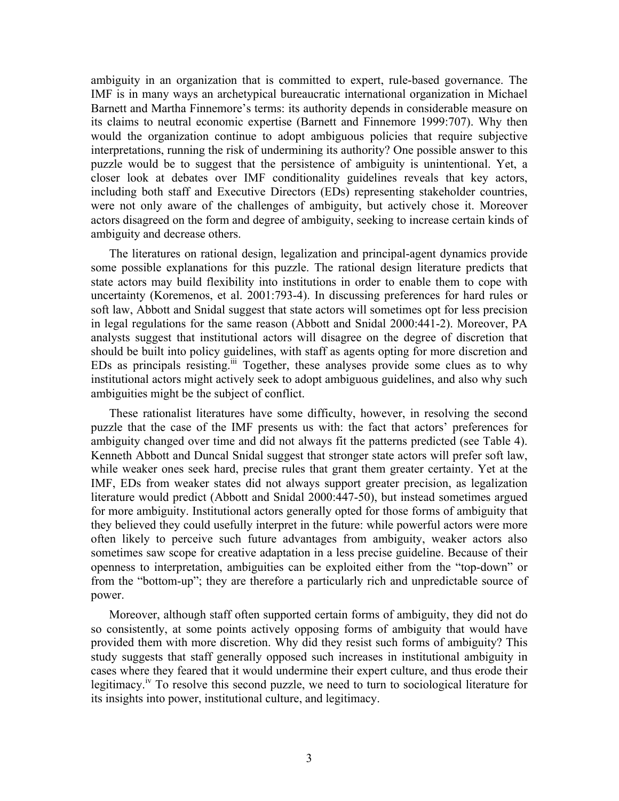ambiguity in an organization that is committed to expert, rule-based governance. The IMF is in many ways an archetypical bureaucratic international organization in Michael Barnett and Martha Finnemore's terms: its authority depends in considerable measure on its claims to neutral economic expertise (Barnett and Finnemore 1999:707). Why then would the organization continue to adopt ambiguous policies that require subjective interpretations, running the risk of undermining its authority? One possible answer to this puzzle would be to suggest that the persistence of ambiguity is unintentional. Yet, a closer look at debates over IMF conditionality guidelines reveals that key actors, including both staff and Executive Directors (EDs) representing stakeholder countries, were not only aware of the challenges of ambiguity, but actively chose it. Moreover actors disagreed on the form and degree of ambiguity, seeking to increase certain kinds of ambiguity and decrease others.

The literatures on rational design, legalization and principal-agent dynamics provide some possible explanations for this puzzle. The rational design literature predicts that state actors may build flexibility into institutions in order to enable them to cope with uncertainty (Koremenos, et al. 2001:793-4). In discussing preferences for hard rules or soft law, Abbott and Snidal suggest that state actors will sometimes opt for less precision in legal regulations for the same reason (Abbott and Snidal 2000:441-2). Moreover, PA analysts suggest that institutional actors will disagree on the degree of discretion that should be built into policy guidelines, with staff as agents opting for more discretion and EDs as principals resisting.<sup>iii</sup> Together, these analyses provide some clues as to why institutional actors might actively seek to adopt ambiguous guidelines, and also why such ambiguities might be the subject of conflict.

These rationalist literatures have some difficulty, however, in resolving the second puzzle that the case of the IMF presents us with: the fact that actors' preferences for ambiguity changed over time and did not always fit the patterns predicted (see Table 4). Kenneth Abbott and Duncal Snidal suggest that stronger state actors will prefer soft law, while weaker ones seek hard, precise rules that grant them greater certainty. Yet at the IMF, EDs from weaker states did not always support greater precision, as legalization literature would predict (Abbott and Snidal 2000:447-50), but instead sometimes argued for more ambiguity. Institutional actors generally opted for those forms of ambiguity that they believed they could usefully interpret in the future: while powerful actors were more often likely to perceive such future advantages from ambiguity, weaker actors also sometimes saw scope for creative adaptation in a less precise guideline. Because of their openness to interpretation, ambiguities can be exploited either from the "top-down" or from the "bottom-up"; they are therefore a particularly rich and unpredictable source of power.

Moreover, although staff often supported certain forms of ambiguity, they did not do so consistently, at some points actively opposing forms of ambiguity that would have provided them with more discretion. Why did they resist such forms of ambiguity? This study suggests that staff generally opposed such increases in institutional ambiguity in cases where they feared that it would undermine their expert culture, and thus erode their legitimacy.<sup>iv</sup> To resolve this second puzzle, we need to turn to sociological literature for its insights into power, institutional culture, and legitimacy.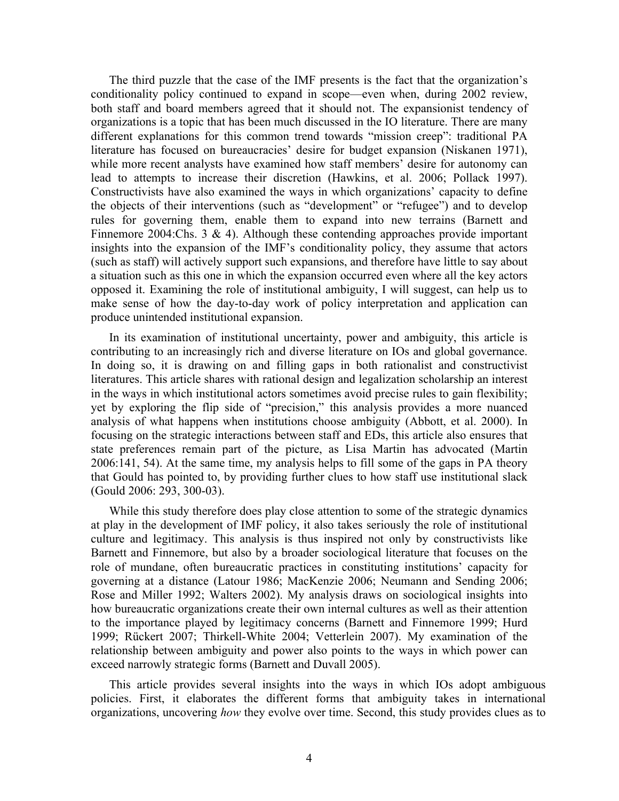The third puzzle that the case of the IMF presents is the fact that the organization's conditionality policy continued to expand in scope—even when, during 2002 review, both staff and board members agreed that it should not. The expansionist tendency of organizations is a topic that has been much discussed in the IO literature. There are many different explanations for this common trend towards "mission creep": traditional PA literature has focused on bureaucracies' desire for budget expansion (Niskanen 1971), while more recent analysts have examined how staff members' desire for autonomy can lead to attempts to increase their discretion (Hawkins, et al. 2006; Pollack 1997). Constructivists have also examined the ways in which organizations' capacity to define the objects of their interventions (such as "development" or "refugee") and to develop rules for governing them, enable them to expand into new terrains (Barnett and Finnemore 2004:Chs. 3  $\&$  4). Although these contending approaches provide important insights into the expansion of the IMF's conditionality policy, they assume that actors (such as staff) will actively support such expansions, and therefore have little to say about a situation such as this one in which the expansion occurred even where all the key actors opposed it. Examining the role of institutional ambiguity, I will suggest, can help us to make sense of how the day-to-day work of policy interpretation and application can produce unintended institutional expansion.

In its examination of institutional uncertainty, power and ambiguity, this article is contributing to an increasingly rich and diverse literature on IOs and global governance. In doing so, it is drawing on and filling gaps in both rationalist and constructivist literatures. This article shares with rational design and legalization scholarship an interest in the ways in which institutional actors sometimes avoid precise rules to gain flexibility; yet by exploring the flip side of "precision," this analysis provides a more nuanced analysis of what happens when institutions choose ambiguity (Abbott, et al. 2000). In focusing on the strategic interactions between staff and EDs, this article also ensures that state preferences remain part of the picture, as Lisa Martin has advocated (Martin 2006:141, 54). At the same time, my analysis helps to fill some of the gaps in PA theory that Gould has pointed to, by providing further clues to how staff use institutional slack (Gould 2006: 293, 300-03).

While this study therefore does play close attention to some of the strategic dynamics at play in the development of IMF policy, it also takes seriously the role of institutional culture and legitimacy. This analysis is thus inspired not only by constructivists like Barnett and Finnemore, but also by a broader sociological literature that focuses on the role of mundane, often bureaucratic practices in constituting institutions' capacity for governing at a distance (Latour 1986; MacKenzie 2006; Neumann and Sending 2006; Rose and Miller 1992; Walters 2002). My analysis draws on sociological insights into how bureaucratic organizations create their own internal cultures as well as their attention to the importance played by legitimacy concerns (Barnett and Finnemore 1999; Hurd 1999; Rückert 2007; Thirkell-White 2004; Vetterlein 2007). My examination of the relationship between ambiguity and power also points to the ways in which power can exceed narrowly strategic forms (Barnett and Duvall 2005).

This article provides several insights into the ways in which IOs adopt ambiguous policies. First, it elaborates the different forms that ambiguity takes in international organizations, uncovering *how* they evolve over time. Second, this study provides clues as to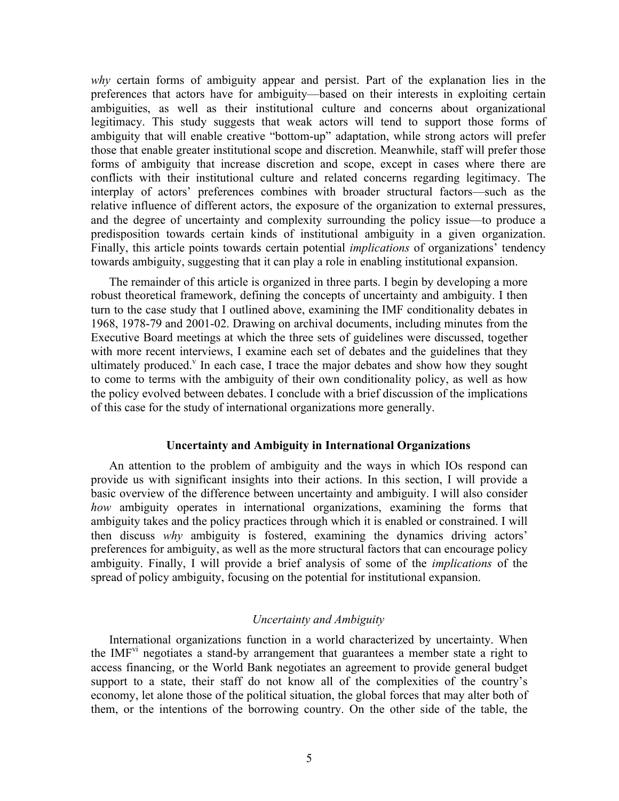*why* certain forms of ambiguity appear and persist. Part of the explanation lies in the preferences that actors have for ambiguity—based on their interests in exploiting certain ambiguities, as well as their institutional culture and concerns about organizational legitimacy. This study suggests that weak actors will tend to support those forms of ambiguity that will enable creative "bottom-up" adaptation, while strong actors will prefer those that enable greater institutional scope and discretion. Meanwhile, staff will prefer those forms of ambiguity that increase discretion and scope, except in cases where there are conflicts with their institutional culture and related concerns regarding legitimacy. The interplay of actors' preferences combines with broader structural factors—such as the relative influence of different actors, the exposure of the organization to external pressures, and the degree of uncertainty and complexity surrounding the policy issue—to produce a predisposition towards certain kinds of institutional ambiguity in a given organization. Finally, this article points towards certain potential *implications* of organizations' tendency towards ambiguity, suggesting that it can play a role in enabling institutional expansion.

The remainder of this article is organized in three parts. I begin by developing a more robust theoretical framework, defining the concepts of uncertainty and ambiguity. I then turn to the case study that I outlined above, examining the IMF conditionality debates in 1968, 1978-79 and 2001-02. Drawing on archival documents, including minutes from the Executive Board meetings at which the three sets of guidelines were discussed, together with more recent interviews, I examine each set of debates and the guidelines that they ultimately produced.<sup> $\theta$ </sup> In each case, I trace the major debates and show how they sought to come to terms with the ambiguity of their own conditionality policy, as well as how the policy evolved between debates. I conclude with a brief discussion of the implications of this case for the study of international organizations more generally.

#### **Uncertainty and Ambiguity in International Organizations**

An attention to the problem of ambiguity and the ways in which IOs respond can provide us with significant insights into their actions. In this section, I will provide a basic overview of the difference between uncertainty and ambiguity. I will also consider *how* ambiguity operates in international organizations, examining the forms that ambiguity takes and the policy practices through which it is enabled or constrained. I will then discuss *why* ambiguity is fostered, examining the dynamics driving actors' preferences for ambiguity, as well as the more structural factors that can encourage policy ambiguity. Finally, I will provide a brief analysis of some of the *implications* of the spread of policy ambiguity, focusing on the potential for institutional expansion.

#### *Uncertainty and Ambiguity*

International organizations function in a world characterized by uncertainty. When the IMF<sup>vi</sup> negotiates a stand-by arrangement that guarantees a member state a right to access financing, or the World Bank negotiates an agreement to provide general budget support to a state, their staff do not know all of the complexities of the country's economy, let alone those of the political situation, the global forces that may alter both of them, or the intentions of the borrowing country. On the other side of the table, the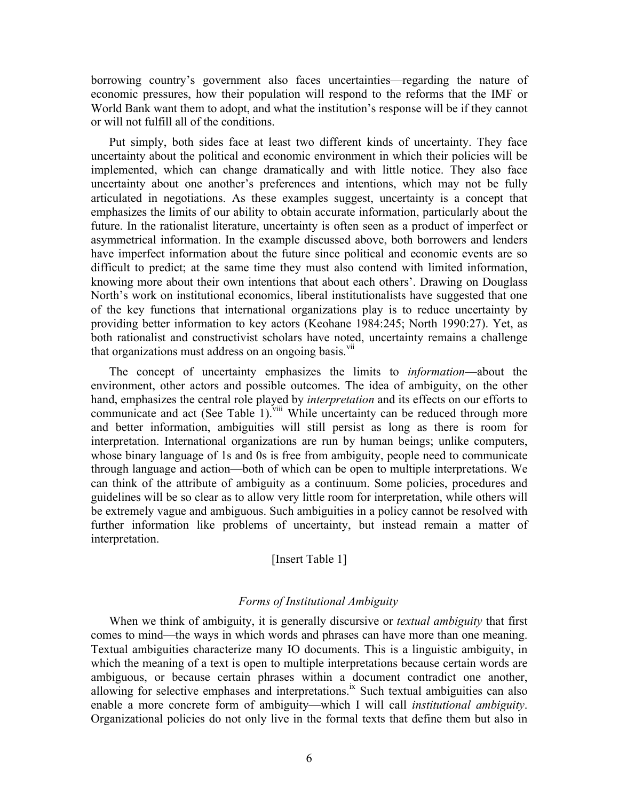borrowing country's government also faces uncertainties—regarding the nature of economic pressures, how their population will respond to the reforms that the IMF or World Bank want them to adopt, and what the institution's response will be if they cannot or will not fulfill all of the conditions.

Put simply, both sides face at least two different kinds of uncertainty. They face uncertainty about the political and economic environment in which their policies will be implemented, which can change dramatically and with little notice. They also face uncertainty about one another's preferences and intentions, which may not be fully articulated in negotiations. As these examples suggest, uncertainty is a concept that emphasizes the limits of our ability to obtain accurate information, particularly about the future. In the rationalist literature, uncertainty is often seen as a product of imperfect or asymmetrical information. In the example discussed above, both borrowers and lenders have imperfect information about the future since political and economic events are so difficult to predict; at the same time they must also contend with limited information, knowing more about their own intentions that about each others'. Drawing on Douglass North's work on institutional economics, liberal institutionalists have suggested that one of the key functions that international organizations play is to reduce uncertainty by providing better information to key actors (Keohane 1984:245; North 1990:27). Yet, as both rationalist and constructivist scholars have noted, uncertainty remains a challenge that organizations must address on an ongoing basis.  $\frac{v}{u}$ 

The concept of uncertainty emphasizes the limits to *information*—about the environment, other actors and possible outcomes. The idea of ambiguity, on the other hand, emphasizes the central role played by *interpretation* and its effects on our efforts to communicate and act (See Table 1).<sup>viii</sup> While uncertainty can be reduced through more and better information, ambiguities will still persist as long as there is room for interpretation. International organizations are run by human beings; unlike computers, whose binary language of 1s and 0s is free from ambiguity, people need to communicate through language and action—both of which can be open to multiple interpretations. We can think of the attribute of ambiguity as a continuum. Some policies, procedures and guidelines will be so clear as to allow very little room for interpretation, while others will be extremely vague and ambiguous. Such ambiguities in a policy cannot be resolved with further information like problems of uncertainty, but instead remain a matter of interpretation.

#### [Insert Table 1]

#### *Forms of Institutional Ambiguity*

When we think of ambiguity, it is generally discursive or *textual ambiguity* that first comes to mind—the ways in which words and phrases can have more than one meaning. Textual ambiguities characterize many IO documents. This is a linguistic ambiguity, in which the meaning of a text is open to multiple interpretations because certain words are ambiguous, or because certain phrases within a document contradict one another, allowing for selective emphases and interpretations.<sup>ix</sup> Such textual ambiguities can also enable a more concrete form of ambiguity—which I will call *institutional ambiguity*. Organizational policies do not only live in the formal texts that define them but also in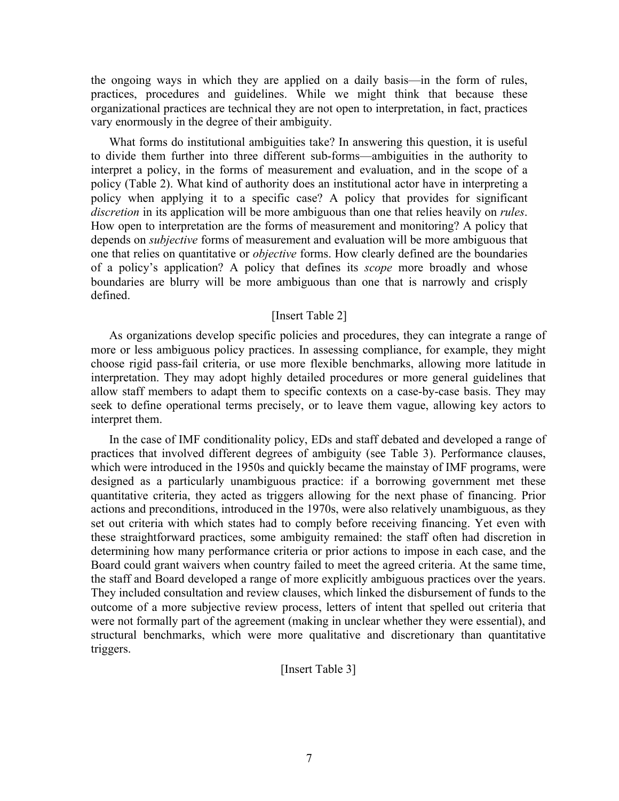the ongoing ways in which they are applied on a daily basis—in the form of rules, practices, procedures and guidelines. While we might think that because these organizational practices are technical they are not open to interpretation, in fact, practices vary enormously in the degree of their ambiguity.

What forms do institutional ambiguities take? In answering this question, it is useful to divide them further into three different sub-forms—ambiguities in the authority to interpret a policy, in the forms of measurement and evaluation, and in the scope of a policy (Table 2). What kind of authority does an institutional actor have in interpreting a policy when applying it to a specific case? A policy that provides for significant *discretion* in its application will be more ambiguous than one that relies heavily on *rules*. How open to interpretation are the forms of measurement and monitoring? A policy that depends on *subjective* forms of measurement and evaluation will be more ambiguous that one that relies on quantitative or *objective* forms. How clearly defined are the boundaries of a policy's application? A policy that defines its *scope* more broadly and whose boundaries are blurry will be more ambiguous than one that is narrowly and crisply defined.

#### [Insert Table 2]

As organizations develop specific policies and procedures, they can integrate a range of more or less ambiguous policy practices. In assessing compliance, for example, they might choose rigid pass-fail criteria, or use more flexible benchmarks, allowing more latitude in interpretation. They may adopt highly detailed procedures or more general guidelines that allow staff members to adapt them to specific contexts on a case-by-case basis. They may seek to define operational terms precisely, or to leave them vague, allowing key actors to interpret them.

In the case of IMF conditionality policy, EDs and staff debated and developed a range of practices that involved different degrees of ambiguity (see Table 3). Performance clauses, which were introduced in the 1950s and quickly became the mainstay of IMF programs, were designed as a particularly unambiguous practice: if a borrowing government met these quantitative criteria, they acted as triggers allowing for the next phase of financing. Prior actions and preconditions, introduced in the 1970s, were also relatively unambiguous, as they set out criteria with which states had to comply before receiving financing. Yet even with these straightforward practices, some ambiguity remained: the staff often had discretion in determining how many performance criteria or prior actions to impose in each case, and the Board could grant waivers when country failed to meet the agreed criteria. At the same time, the staff and Board developed a range of more explicitly ambiguous practices over the years. They included consultation and review clauses, which linked the disbursement of funds to the outcome of a more subjective review process, letters of intent that spelled out criteria that were not formally part of the agreement (making in unclear whether they were essential), and structural benchmarks, which were more qualitative and discretionary than quantitative triggers.

[Insert Table 3]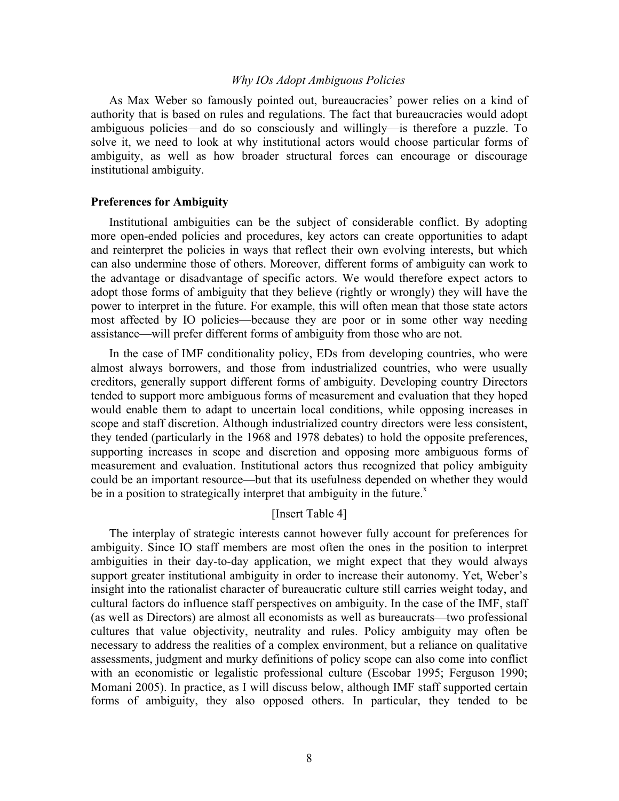#### *Why IOs Adopt Ambiguous Policies*

As Max Weber so famously pointed out, bureaucracies' power relies on a kind of authority that is based on rules and regulations. The fact that bureaucracies would adopt ambiguous policies—and do so consciously and willingly—is therefore a puzzle. To solve it, we need to look at why institutional actors would choose particular forms of ambiguity, as well as how broader structural forces can encourage or discourage institutional ambiguity.

#### **Preferences for Ambiguity**

Institutional ambiguities can be the subject of considerable conflict. By adopting more open-ended policies and procedures, key actors can create opportunities to adapt and reinterpret the policies in ways that reflect their own evolving interests, but which can also undermine those of others. Moreover, different forms of ambiguity can work to the advantage or disadvantage of specific actors. We would therefore expect actors to adopt those forms of ambiguity that they believe (rightly or wrongly) they will have the power to interpret in the future. For example, this will often mean that those state actors most affected by IO policies—because they are poor or in some other way needing assistance—will prefer different forms of ambiguity from those who are not.

In the case of IMF conditionality policy, EDs from developing countries, who were almost always borrowers, and those from industrialized countries, who were usually creditors, generally support different forms of ambiguity. Developing country Directors tended to support more ambiguous forms of measurement and evaluation that they hoped would enable them to adapt to uncertain local conditions, while opposing increases in scope and staff discretion. Although industrialized country directors were less consistent, they tended (particularly in the 1968 and 1978 debates) to hold the opposite preferences, supporting increases in scope and discretion and opposing more ambiguous forms of measurement and evaluation. Institutional actors thus recognized that policy ambiguity could be an important resource—but that its usefulness depended on whether they would be in a position to strategically interpret that ambiguity in the future.<sup> $x$ </sup>

#### [Insert Table 4]

The interplay of strategic interests cannot however fully account for preferences for ambiguity. Since IO staff members are most often the ones in the position to interpret ambiguities in their day-to-day application, we might expect that they would always support greater institutional ambiguity in order to increase their autonomy. Yet, Weber's insight into the rationalist character of bureaucratic culture still carries weight today, and cultural factors do influence staff perspectives on ambiguity. In the case of the IMF, staff (as well as Directors) are almost all economists as well as bureaucrats—two professional cultures that value objectivity, neutrality and rules. Policy ambiguity may often be necessary to address the realities of a complex environment, but a reliance on qualitative assessments, judgment and murky definitions of policy scope can also come into conflict with an economistic or legalistic professional culture (Escobar 1995; Ferguson 1990; Momani 2005). In practice, as I will discuss below, although IMF staff supported certain forms of ambiguity, they also opposed others. In particular, they tended to be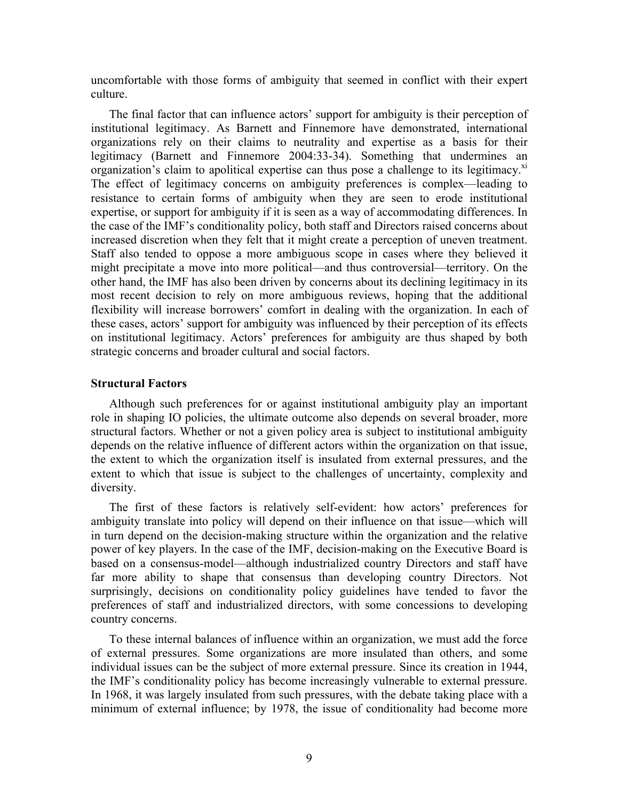uncomfortable with those forms of ambiguity that seemed in conflict with their expert culture.

The final factor that can influence actors' support for ambiguity is their perception of institutional legitimacy. As Barnett and Finnemore have demonstrated, international organizations rely on their claims to neutrality and expertise as a basis for their legitimacy (Barnett and Finnemore 2004:33-34). Something that undermines an organization's claim to apolitical expertise can thus pose a challenge to its legitimacy.<sup>xi</sup> The effect of legitimacy concerns on ambiguity preferences is complex—leading to resistance to certain forms of ambiguity when they are seen to erode institutional expertise, or support for ambiguity if it is seen as a way of accommodating differences. In the case of the IMF's conditionality policy, both staff and Directors raised concerns about increased discretion when they felt that it might create a perception of uneven treatment. Staff also tended to oppose a more ambiguous scope in cases where they believed it might precipitate a move into more political—and thus controversial—territory. On the other hand, the IMF has also been driven by concerns about its declining legitimacy in its most recent decision to rely on more ambiguous reviews, hoping that the additional flexibility will increase borrowers' comfort in dealing with the organization. In each of these cases, actors' support for ambiguity was influenced by their perception of its effects on institutional legitimacy. Actors' preferences for ambiguity are thus shaped by both strategic concerns and broader cultural and social factors.

#### **Structural Factors**

Although such preferences for or against institutional ambiguity play an important role in shaping IO policies, the ultimate outcome also depends on several broader, more structural factors. Whether or not a given policy area is subject to institutional ambiguity depends on the relative influence of different actors within the organization on that issue, the extent to which the organization itself is insulated from external pressures, and the extent to which that issue is subject to the challenges of uncertainty, complexity and diversity.

The first of these factors is relatively self-evident: how actors' preferences for ambiguity translate into policy will depend on their influence on that issue—which will in turn depend on the decision-making structure within the organization and the relative power of key players. In the case of the IMF, decision-making on the Executive Board is based on a consensus-model—although industrialized country Directors and staff have far more ability to shape that consensus than developing country Directors. Not surprisingly, decisions on conditionality policy guidelines have tended to favor the preferences of staff and industrialized directors, with some concessions to developing country concerns.

To these internal balances of influence within an organization, we must add the force of external pressures. Some organizations are more insulated than others, and some individual issues can be the subject of more external pressure. Since its creation in 1944, the IMF's conditionality policy has become increasingly vulnerable to external pressure. In 1968, it was largely insulated from such pressures, with the debate taking place with a minimum of external influence; by 1978, the issue of conditionality had become more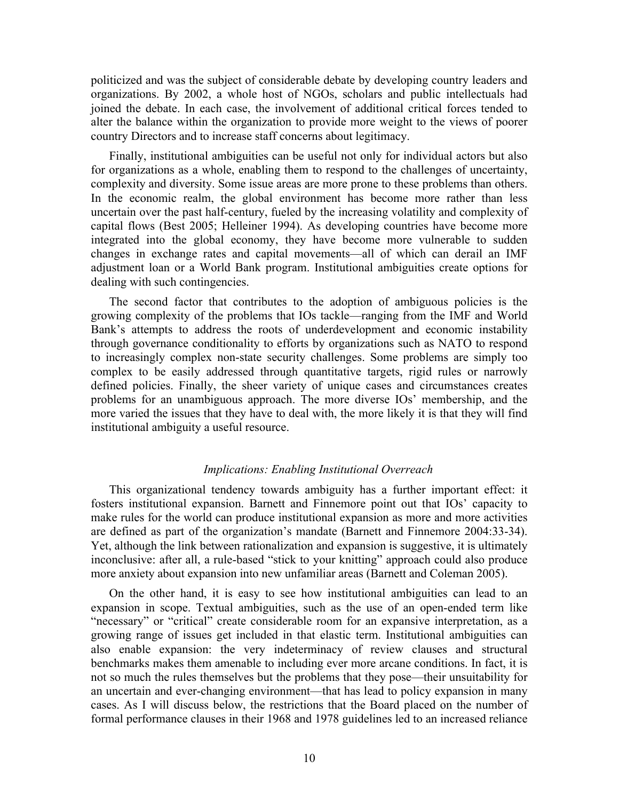politicized and was the subject of considerable debate by developing country leaders and organizations. By 2002, a whole host of NGOs, scholars and public intellectuals had joined the debate. In each case, the involvement of additional critical forces tended to alter the balance within the organization to provide more weight to the views of poorer country Directors and to increase staff concerns about legitimacy.

Finally, institutional ambiguities can be useful not only for individual actors but also for organizations as a whole, enabling them to respond to the challenges of uncertainty, complexity and diversity. Some issue areas are more prone to these problems than others. In the economic realm, the global environment has become more rather than less uncertain over the past half-century, fueled by the increasing volatility and complexity of capital flows (Best 2005; Helleiner 1994). As developing countries have become more integrated into the global economy, they have become more vulnerable to sudden changes in exchange rates and capital movements—all of which can derail an IMF adjustment loan or a World Bank program. Institutional ambiguities create options for dealing with such contingencies.

The second factor that contributes to the adoption of ambiguous policies is the growing complexity of the problems that IOs tackle—ranging from the IMF and World Bank's attempts to address the roots of underdevelopment and economic instability through governance conditionality to efforts by organizations such as NATO to respond to increasingly complex non-state security challenges. Some problems are simply too complex to be easily addressed through quantitative targets, rigid rules or narrowly defined policies. Finally, the sheer variety of unique cases and circumstances creates problems for an unambiguous approach. The more diverse IOs' membership, and the more varied the issues that they have to deal with, the more likely it is that they will find institutional ambiguity a useful resource.

#### *Implications: Enabling Institutional Overreach*

This organizational tendency towards ambiguity has a further important effect: it fosters institutional expansion. Barnett and Finnemore point out that IOs' capacity to make rules for the world can produce institutional expansion as more and more activities are defined as part of the organization's mandate (Barnett and Finnemore 2004:33-34). Yet, although the link between rationalization and expansion is suggestive, it is ultimately inconclusive: after all, a rule-based "stick to your knitting" approach could also produce more anxiety about expansion into new unfamiliar areas (Barnett and Coleman 2005).

On the other hand, it is easy to see how institutional ambiguities can lead to an expansion in scope. Textual ambiguities, such as the use of an open-ended term like "necessary" or "critical" create considerable room for an expansive interpretation, as a growing range of issues get included in that elastic term. Institutional ambiguities can also enable expansion: the very indeterminacy of review clauses and structural benchmarks makes them amenable to including ever more arcane conditions. In fact, it is not so much the rules themselves but the problems that they pose—their unsuitability for an uncertain and ever-changing environment—that has lead to policy expansion in many cases. As I will discuss below, the restrictions that the Board placed on the number of formal performance clauses in their 1968 and 1978 guidelines led to an increased reliance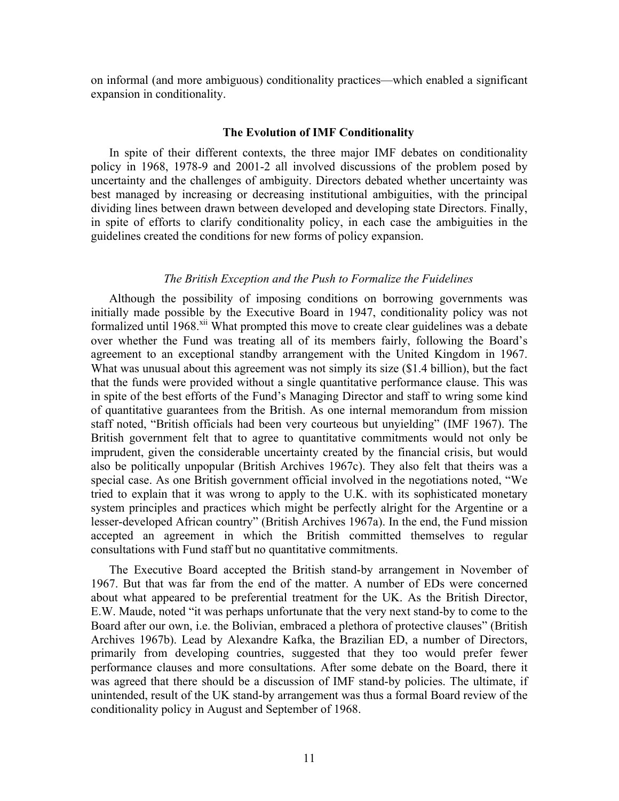on informal (and more ambiguous) conditionality practices—which enabled a significant expansion in conditionality.

#### **The Evolution of IMF Conditionality**

In spite of their different contexts, the three major IMF debates on conditionality policy in 1968, 1978-9 and 2001-2 all involved discussions of the problem posed by uncertainty and the challenges of ambiguity. Directors debated whether uncertainty was best managed by increasing or decreasing institutional ambiguities, with the principal dividing lines between drawn between developed and developing state Directors. Finally, in spite of efforts to clarify conditionality policy, in each case the ambiguities in the guidelines created the conditions for new forms of policy expansion.

#### *The British Exception and the Push to Formalize the Fuidelines*

Although the possibility of imposing conditions on borrowing governments was initially made possible by the Executive Board in 1947, conditionality policy was not formalized until 1968.<sup>xii</sup> What prompted this move to create clear guidelines was a debate over whether the Fund was treating all of its members fairly, following the Board's agreement to an exceptional standby arrangement with the United Kingdom in 1967. What was unusual about this agreement was not simply its size (\$1.4 billion), but the fact that the funds were provided without a single quantitative performance clause. This was in spite of the best efforts of the Fund's Managing Director and staff to wring some kind of quantitative guarantees from the British. As one internal memorandum from mission staff noted, "British officials had been very courteous but unyielding" (IMF 1967). The British government felt that to agree to quantitative commitments would not only be imprudent, given the considerable uncertainty created by the financial crisis, but would also be politically unpopular (British Archives 1967c). They also felt that theirs was a special case. As one British government official involved in the negotiations noted, "We tried to explain that it was wrong to apply to the U.K. with its sophisticated monetary system principles and practices which might be perfectly alright for the Argentine or a lesser-developed African country" (British Archives 1967a). In the end, the Fund mission accepted an agreement in which the British committed themselves to regular consultations with Fund staff but no quantitative commitments.

The Executive Board accepted the British stand-by arrangement in November of 1967. But that was far from the end of the matter. A number of EDs were concerned about what appeared to be preferential treatment for the UK. As the British Director, E.W. Maude, noted "it was perhaps unfortunate that the very next stand-by to come to the Board after our own, i.e. the Bolivian, embraced a plethora of protective clauses" (British Archives 1967b). Lead by Alexandre Kafka, the Brazilian ED, a number of Directors, primarily from developing countries, suggested that they too would prefer fewer performance clauses and more consultations. After some debate on the Board, there it was agreed that there should be a discussion of IMF stand-by policies. The ultimate, if unintended, result of the UK stand-by arrangement was thus a formal Board review of the conditionality policy in August and September of 1968.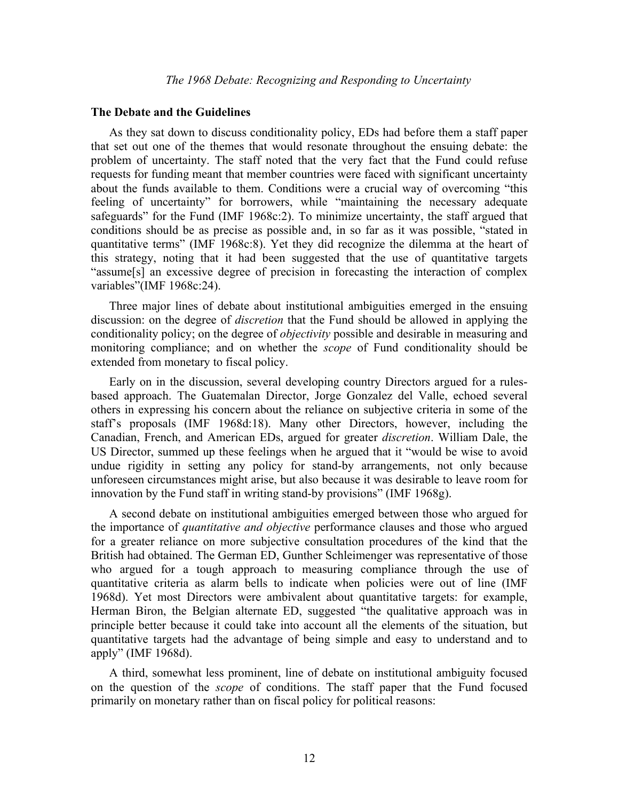#### **The Debate and the Guidelines**

As they sat down to discuss conditionality policy, EDs had before them a staff paper that set out one of the themes that would resonate throughout the ensuing debate: the problem of uncertainty. The staff noted that the very fact that the Fund could refuse requests for funding meant that member countries were faced with significant uncertainty about the funds available to them. Conditions were a crucial way of overcoming "this feeling of uncertainty" for borrowers, while "maintaining the necessary adequate safeguards" for the Fund (IMF 1968c:2). To minimize uncertainty, the staff argued that conditions should be as precise as possible and, in so far as it was possible, "stated in quantitative terms" (IMF 1968c:8). Yet they did recognize the dilemma at the heart of this strategy, noting that it had been suggested that the use of quantitative targets "assume[s] an excessive degree of precision in forecasting the interaction of complex variables"(IMF 1968c:24).

Three major lines of debate about institutional ambiguities emerged in the ensuing discussion: on the degree of *discretion* that the Fund should be allowed in applying the conditionality policy; on the degree of *objectivity* possible and desirable in measuring and monitoring compliance; and on whether the *scope* of Fund conditionality should be extended from monetary to fiscal policy.

Early on in the discussion, several developing country Directors argued for a rulesbased approach. The Guatemalan Director, Jorge Gonzalez del Valle, echoed several others in expressing his concern about the reliance on subjective criteria in some of the staff's proposals (IMF 1968d:18). Many other Directors, however, including the Canadian, French, and American EDs, argued for greater *discretion*. William Dale, the US Director, summed up these feelings when he argued that it "would be wise to avoid undue rigidity in setting any policy for stand-by arrangements, not only because unforeseen circumstances might arise, but also because it was desirable to leave room for innovation by the Fund staff in writing stand-by provisions" (IMF 1968g).

A second debate on institutional ambiguities emerged between those who argued for the importance of *quantitative and objective* performance clauses and those who argued for a greater reliance on more subjective consultation procedures of the kind that the British had obtained. The German ED, Gunther Schleimenger was representative of those who argued for a tough approach to measuring compliance through the use of quantitative criteria as alarm bells to indicate when policies were out of line (IMF 1968d). Yet most Directors were ambivalent about quantitative targets: for example, Herman Biron, the Belgian alternate ED, suggested "the qualitative approach was in principle better because it could take into account all the elements of the situation, but quantitative targets had the advantage of being simple and easy to understand and to apply" (IMF 1968d).

A third, somewhat less prominent, line of debate on institutional ambiguity focused on the question of the *scope* of conditions. The staff paper that the Fund focused primarily on monetary rather than on fiscal policy for political reasons: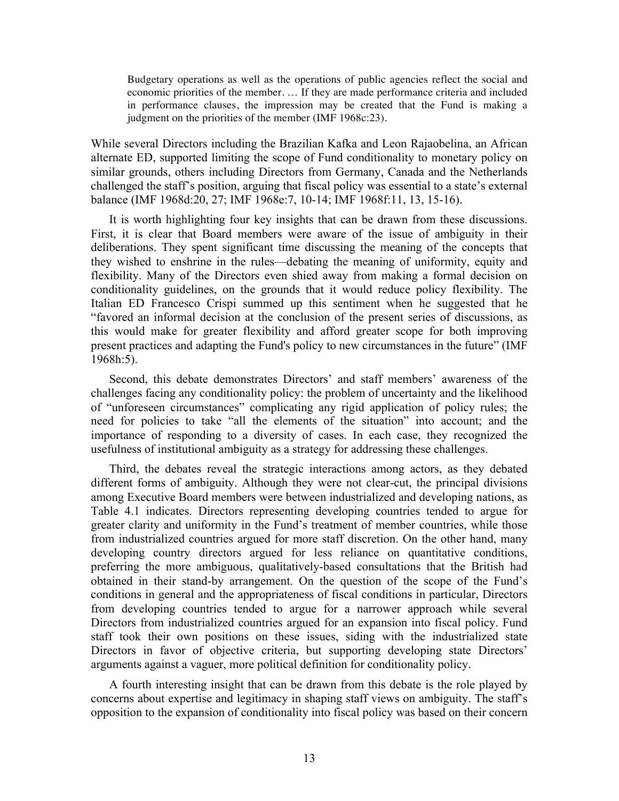Budgetary operations as well as the operations of public agencies reflect the social and economic priorities of the member. … If they are made performance criteria and included in performance clauses, the impression may be created that the Fund is making a judgment on the priorities of the member (IMF 1968c:23).

While several Directors including the Brazilian Kafka and Leon Rajaobelina, an African alternate ED, supported limiting the scope of Fund conditionality to monetary policy on similar grounds, others including Directors from Germany, Canada and the Netherlands challenged the staff's position, arguing that fiscal policy was essential to a state's external balance (IMF 1968d:20, 27; IMF 1968e:7, 10-14; IMF 1968f:11, 13, 15-16).

It is worth highlighting four key insights that can be drawn from these discussions. First, it is clear that Board members were aware of the issue of ambiguity in their deliberations. They spent significant time discussing the meaning of the concepts that they wished to enshrine in the rules—debating the meaning of uniformity, equity and flexibility. Many of the Directors even shied away from making a formal decision on conditionality guidelines, on the grounds that it would reduce policy flexibility. The Italian ED Francesco Crispi summed up this sentiment when he suggested that he "favored an informal decision at the conclusion of the present series of discussions, as this would make for greater flexibility and afford greater scope for both improving present practices and adapting the Fund's policy to new circumstances in the future" (IMF 1968h:5).

Second, this debate demonstrates Directors' and staff members' awareness of the challenges facing any conditionality policy: the problem of uncertainty and the likelihood of "unforeseen circumstances" complicating any rigid application of policy rules; the need for policies to take "all the elements of the situation" into account; and the importance of responding to a diversity of cases. In each case, they recognized the usefulness of institutional ambiguity as a strategy for addressing these challenges.

Third, the debates reveal the strategic interactions among actors, as they debated different forms of ambiguity. Although they were not clear-cut, the principal divisions among Executive Board members were between industrialized and developing nations, as Table 4.1 indicates. Directors representing developing countries tended to argue for greater clarity and uniformity in the Fund's treatment of member countries, while those from industrialized countries argued for more staff discretion. On the other hand, many developing country directors argued for less reliance on quantitative conditions, preferring the more ambiguous, qualitatively-based consultations that the British had obtained in their stand-by arrangement. On the question of the scope of the Fund's conditions in general and the appropriateness of fiscal conditions in particular, Directors from developing countries tended to argue for a narrower approach while several Directors from industrialized countries argued for an expansion into fiscal policy. Fund staff took their own positions on these issues, siding with the industrialized state Directors in favor of objective criteria, but supporting developing state Directors' arguments against a vaguer, more political definition for conditionality policy.

A fourth interesting insight that can be drawn from this debate is the role played by concerns about expertise and legitimacy in shaping staff views on ambiguity. The staff's opposition to the expansion of conditionality into fiscal policy was based on their concern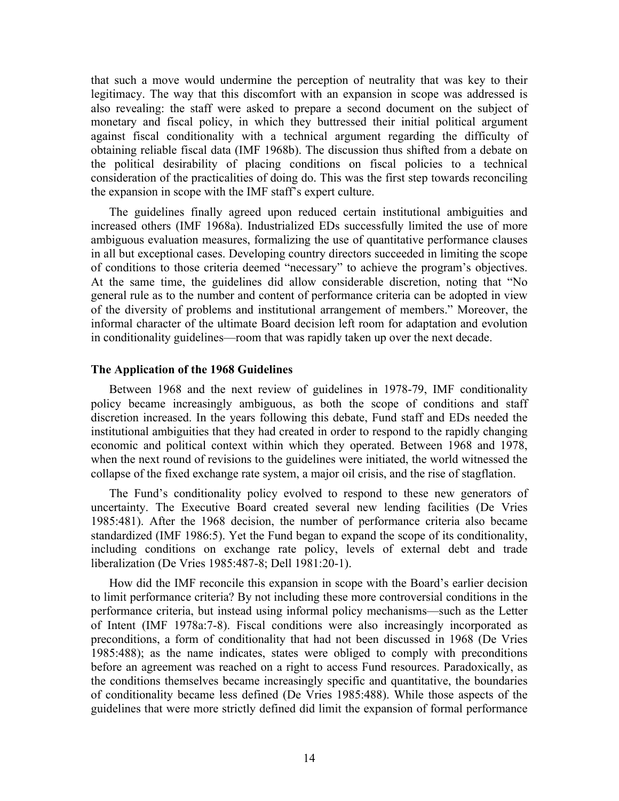that such a move would undermine the perception of neutrality that was key to their legitimacy. The way that this discomfort with an expansion in scope was addressed is also revealing: the staff were asked to prepare a second document on the subject of monetary and fiscal policy, in which they buttressed their initial political argument against fiscal conditionality with a technical argument regarding the difficulty of obtaining reliable fiscal data (IMF 1968b). The discussion thus shifted from a debate on the political desirability of placing conditions on fiscal policies to a technical consideration of the practicalities of doing do. This was the first step towards reconciling the expansion in scope with the IMF staff's expert culture.

The guidelines finally agreed upon reduced certain institutional ambiguities and increased others (IMF 1968a). Industrialized EDs successfully limited the use of more ambiguous evaluation measures, formalizing the use of quantitative performance clauses in all but exceptional cases. Developing country directors succeeded in limiting the scope of conditions to those criteria deemed "necessary" to achieve the program's objectives. At the same time, the guidelines did allow considerable discretion, noting that "No general rule as to the number and content of performance criteria can be adopted in view of the diversity of problems and institutional arrangement of members." Moreover, the informal character of the ultimate Board decision left room for adaptation and evolution in conditionality guidelines—room that was rapidly taken up over the next decade.

#### **The Application of the 1968 Guidelines**

Between 1968 and the next review of guidelines in 1978-79, IMF conditionality policy became increasingly ambiguous, as both the scope of conditions and staff discretion increased. In the years following this debate, Fund staff and EDs needed the institutional ambiguities that they had created in order to respond to the rapidly changing economic and political context within which they operated. Between 1968 and 1978, when the next round of revisions to the guidelines were initiated, the world witnessed the collapse of the fixed exchange rate system, a major oil crisis, and the rise of stagflation.

The Fund's conditionality policy evolved to respond to these new generators of uncertainty. The Executive Board created several new lending facilities (De Vries 1985:481). After the 1968 decision, the number of performance criteria also became standardized (IMF 1986:5). Yet the Fund began to expand the scope of its conditionality, including conditions on exchange rate policy, levels of external debt and trade liberalization (De Vries 1985:487-8; Dell 1981:20-1).

How did the IMF reconcile this expansion in scope with the Board's earlier decision to limit performance criteria? By not including these more controversial conditions in the performance criteria, but instead using informal policy mechanisms—such as the Letter of Intent (IMF 1978a:7-8). Fiscal conditions were also increasingly incorporated as preconditions, a form of conditionality that had not been discussed in 1968 (De Vries 1985:488); as the name indicates, states were obliged to comply with preconditions before an agreement was reached on a right to access Fund resources. Paradoxically, as the conditions themselves became increasingly specific and quantitative, the boundaries of conditionality became less defined (De Vries 1985:488). While those aspects of the guidelines that were more strictly defined did limit the expansion of formal performance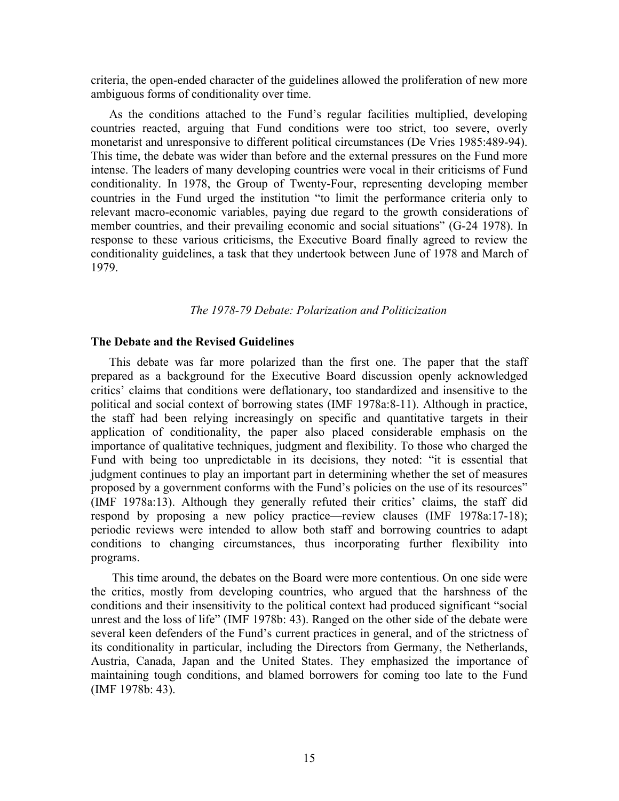criteria, the open-ended character of the guidelines allowed the proliferation of new more ambiguous forms of conditionality over time.

As the conditions attached to the Fund's regular facilities multiplied, developing countries reacted, arguing that Fund conditions were too strict, too severe, overly monetarist and unresponsive to different political circumstances (De Vries 1985:489-94). This time, the debate was wider than before and the external pressures on the Fund more intense. The leaders of many developing countries were vocal in their criticisms of Fund conditionality. In 1978, the Group of Twenty-Four, representing developing member countries in the Fund urged the institution "to limit the performance criteria only to relevant macro-economic variables, paying due regard to the growth considerations of member countries, and their prevailing economic and social situations" (G-24 1978). In response to these various criticisms, the Executive Board finally agreed to review the conditionality guidelines, a task that they undertook between June of 1978 and March of 1979.

#### *The 1978-79 Debate: Polarization and Politicization*

#### **The Debate and the Revised Guidelines**

This debate was far more polarized than the first one. The paper that the staff prepared as a background for the Executive Board discussion openly acknowledged critics' claims that conditions were deflationary, too standardized and insensitive to the political and social context of borrowing states (IMF 1978a:8-11). Although in practice, the staff had been relying increasingly on specific and quantitative targets in their application of conditionality, the paper also placed considerable emphasis on the importance of qualitative techniques, judgment and flexibility. To those who charged the Fund with being too unpredictable in its decisions, they noted: "it is essential that judgment continues to play an important part in determining whether the set of measures proposed by a government conforms with the Fund's policies on the use of its resources" (IMF 1978a:13). Although they generally refuted their critics' claims, the staff did respond by proposing a new policy practice—review clauses (IMF 1978a:17-18); periodic reviews were intended to allow both staff and borrowing countries to adapt conditions to changing circumstances, thus incorporating further flexibility into programs.

This time around, the debates on the Board were more contentious. On one side were the critics, mostly from developing countries, who argued that the harshness of the conditions and their insensitivity to the political context had produced significant "social unrest and the loss of life" (IMF 1978b: 43). Ranged on the other side of the debate were several keen defenders of the Fund's current practices in general, and of the strictness of its conditionality in particular, including the Directors from Germany, the Netherlands, Austria, Canada, Japan and the United States. They emphasized the importance of maintaining tough conditions, and blamed borrowers for coming too late to the Fund (IMF 1978b: 43).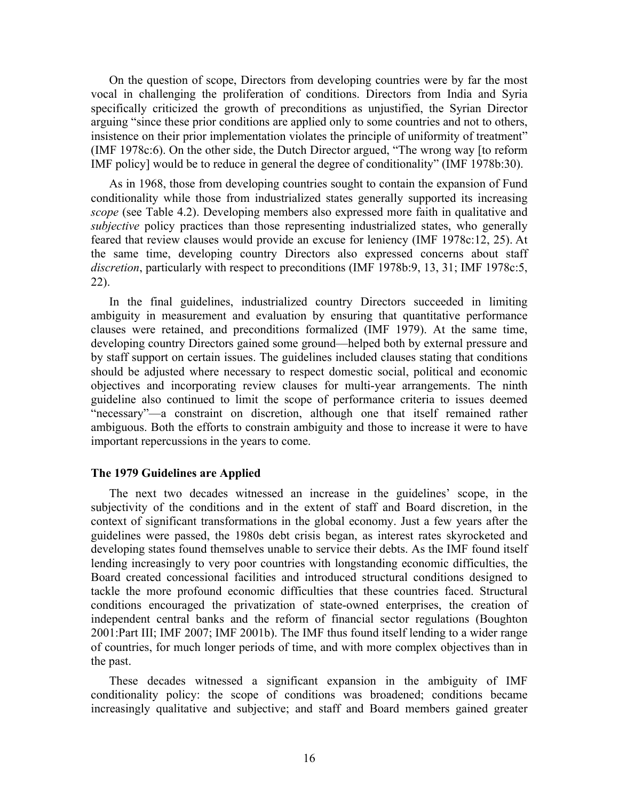On the question of scope, Directors from developing countries were by far the most vocal in challenging the proliferation of conditions. Directors from India and Syria specifically criticized the growth of preconditions as unjustified, the Syrian Director arguing "since these prior conditions are applied only to some countries and not to others, insistence on their prior implementation violates the principle of uniformity of treatment" (IMF 1978c:6). On the other side, the Dutch Director argued, "The wrong way [to reform IMF policy] would be to reduce in general the degree of conditionality" (IMF 1978b:30).

As in 1968, those from developing countries sought to contain the expansion of Fund conditionality while those from industrialized states generally supported its increasing *scope* (see Table 4.2). Developing members also expressed more faith in qualitative and *subjective* policy practices than those representing industrialized states, who generally feared that review clauses would provide an excuse for leniency (IMF 1978c:12, 25). At the same time, developing country Directors also expressed concerns about staff *discretion*, particularly with respect to preconditions (IMF 1978b:9, 13, 31; IMF 1978c:5, 22).

In the final guidelines, industrialized country Directors succeeded in limiting ambiguity in measurement and evaluation by ensuring that quantitative performance clauses were retained, and preconditions formalized (IMF 1979). At the same time, developing country Directors gained some ground—helped both by external pressure and by staff support on certain issues. The guidelines included clauses stating that conditions should be adjusted where necessary to respect domestic social, political and economic objectives and incorporating review clauses for multi-year arrangements. The ninth guideline also continued to limit the scope of performance criteria to issues deemed "necessary"—a constraint on discretion, although one that itself remained rather ambiguous. Both the efforts to constrain ambiguity and those to increase it were to have important repercussions in the years to come.

#### **The 1979 Guidelines are Applied**

The next two decades witnessed an increase in the guidelines' scope, in the subjectivity of the conditions and in the extent of staff and Board discretion, in the context of significant transformations in the global economy. Just a few years after the guidelines were passed, the 1980s debt crisis began, as interest rates skyrocketed and developing states found themselves unable to service their debts. As the IMF found itself lending increasingly to very poor countries with longstanding economic difficulties, the Board created concessional facilities and introduced structural conditions designed to tackle the more profound economic difficulties that these countries faced. Structural conditions encouraged the privatization of state-owned enterprises, the creation of independent central banks and the reform of financial sector regulations (Boughton 2001:Part III; IMF 2007; IMF 2001b). The IMF thus found itself lending to a wider range of countries, for much longer periods of time, and with more complex objectives than in the past.

These decades witnessed a significant expansion in the ambiguity of IMF conditionality policy: the scope of conditions was broadened; conditions became increasingly qualitative and subjective; and staff and Board members gained greater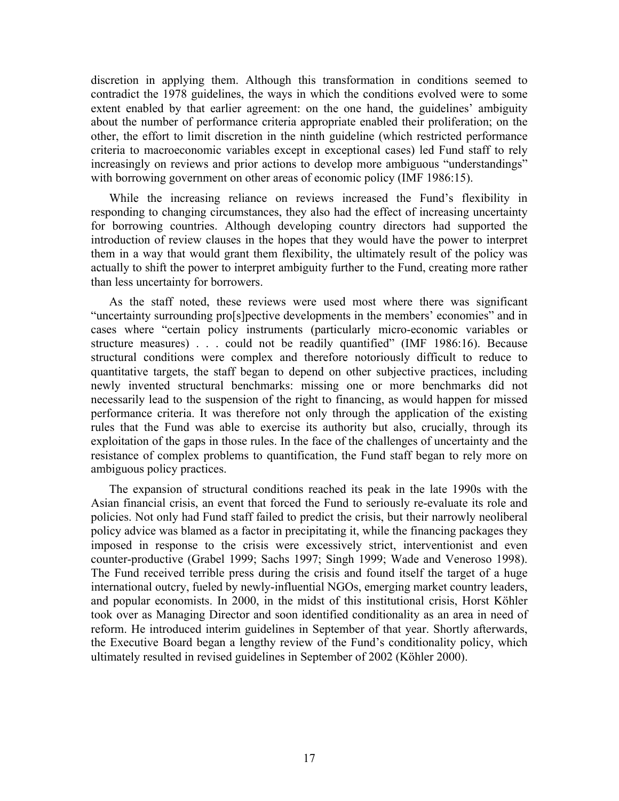discretion in applying them. Although this transformation in conditions seemed to contradict the 1978 guidelines, the ways in which the conditions evolved were to some extent enabled by that earlier agreement: on the one hand, the guidelines' ambiguity about the number of performance criteria appropriate enabled their proliferation; on the other, the effort to limit discretion in the ninth guideline (which restricted performance criteria to macroeconomic variables except in exceptional cases) led Fund staff to rely increasingly on reviews and prior actions to develop more ambiguous "understandings" with borrowing government on other areas of economic policy (IMF 1986:15).

While the increasing reliance on reviews increased the Fund's flexibility in responding to changing circumstances, they also had the effect of increasing uncertainty for borrowing countries. Although developing country directors had supported the introduction of review clauses in the hopes that they would have the power to interpret them in a way that would grant them flexibility, the ultimately result of the policy was actually to shift the power to interpret ambiguity further to the Fund, creating more rather than less uncertainty for borrowers.

As the staff noted, these reviews were used most where there was significant "uncertainty surrounding pro[s]pective developments in the members' economies" and in cases where "certain policy instruments (particularly micro-economic variables or structure measures) . . . could not be readily quantified" (IMF 1986:16). Because structural conditions were complex and therefore notoriously difficult to reduce to quantitative targets, the staff began to depend on other subjective practices, including newly invented structural benchmarks: missing one or more benchmarks did not necessarily lead to the suspension of the right to financing, as would happen for missed performance criteria. It was therefore not only through the application of the existing rules that the Fund was able to exercise its authority but also, crucially, through its exploitation of the gaps in those rules. In the face of the challenges of uncertainty and the resistance of complex problems to quantification, the Fund staff began to rely more on ambiguous policy practices.

The expansion of structural conditions reached its peak in the late 1990s with the Asian financial crisis, an event that forced the Fund to seriously re-evaluate its role and policies. Not only had Fund staff failed to predict the crisis, but their narrowly neoliberal policy advice was blamed as a factor in precipitating it, while the financing packages they imposed in response to the crisis were excessively strict, interventionist and even counter-productive (Grabel 1999; Sachs 1997; Singh 1999; Wade and Veneroso 1998). The Fund received terrible press during the crisis and found itself the target of a huge international outcry, fueled by newly-influential NGOs, emerging market country leaders, and popular economists. In 2000, in the midst of this institutional crisis, Horst Köhler took over as Managing Director and soon identified conditionality as an area in need of reform. He introduced interim guidelines in September of that year. Shortly afterwards, the Executive Board began a lengthy review of the Fund's conditionality policy, which ultimately resulted in revised guidelines in September of 2002 (Köhler 2000).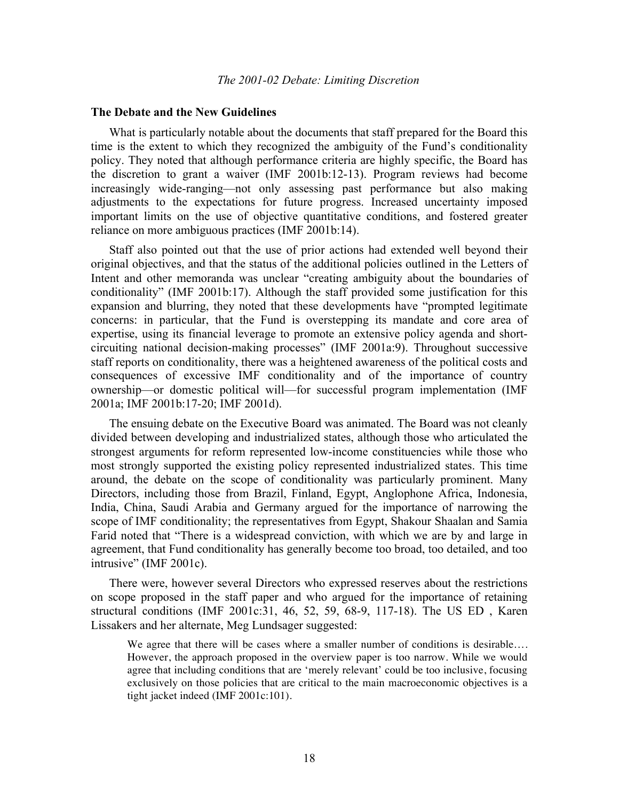#### **The Debate and the New Guidelines**

What is particularly notable about the documents that staff prepared for the Board this time is the extent to which they recognized the ambiguity of the Fund's conditionality policy. They noted that although performance criteria are highly specific, the Board has the discretion to grant a waiver (IMF 2001b:12-13). Program reviews had become increasingly wide-ranging—not only assessing past performance but also making adjustments to the expectations for future progress. Increased uncertainty imposed important limits on the use of objective quantitative conditions, and fostered greater reliance on more ambiguous practices (IMF 2001b:14).

Staff also pointed out that the use of prior actions had extended well beyond their original objectives, and that the status of the additional policies outlined in the Letters of Intent and other memoranda was unclear "creating ambiguity about the boundaries of conditionality" (IMF 2001b:17). Although the staff provided some justification for this expansion and blurring, they noted that these developments have "prompted legitimate concerns: in particular, that the Fund is overstepping its mandate and core area of expertise, using its financial leverage to promote an extensive policy agenda and shortcircuiting national decision-making processes" (IMF 2001a:9). Throughout successive staff reports on conditionality, there was a heightened awareness of the political costs and consequences of excessive IMF conditionality and of the importance of country ownership—or domestic political will—for successful program implementation (IMF 2001a; IMF 2001b:17-20; IMF 2001d).

The ensuing debate on the Executive Board was animated. The Board was not cleanly divided between developing and industrialized states, although those who articulated the strongest arguments for reform represented low-income constituencies while those who most strongly supported the existing policy represented industrialized states. This time around, the debate on the scope of conditionality was particularly prominent. Many Directors, including those from Brazil, Finland, Egypt, Anglophone Africa, Indonesia, India, China, Saudi Arabia and Germany argued for the importance of narrowing the scope of IMF conditionality; the representatives from Egypt, Shakour Shaalan and Samia Farid noted that "There is a widespread conviction, with which we are by and large in agreement, that Fund conditionality has generally become too broad, too detailed, and too intrusive" (IMF 2001c).

There were, however several Directors who expressed reserves about the restrictions on scope proposed in the staff paper and who argued for the importance of retaining structural conditions (IMF 2001c:31, 46, 52, 59, 68-9, 117-18). The US ED , Karen Lissakers and her alternate, Meg Lundsager suggested:

We agree that there will be cases where a smaller number of conditions is desirable.... However, the approach proposed in the overview paper is too narrow. While we would agree that including conditions that are 'merely relevant' could be too inclusive, focusing exclusively on those policies that are critical to the main macroeconomic objectives is a tight jacket indeed (IMF 2001c:101).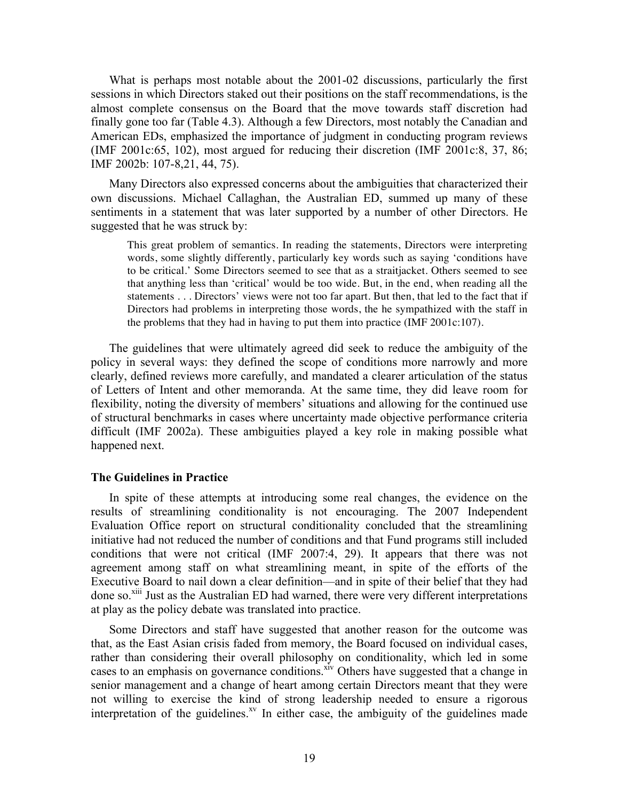What is perhaps most notable about the 2001-02 discussions, particularly the first sessions in which Directors staked out their positions on the staff recommendations, is the almost complete consensus on the Board that the move towards staff discretion had finally gone too far (Table 4.3). Although a few Directors, most notably the Canadian and American EDs, emphasized the importance of judgment in conducting program reviews (IMF 2001c:65, 102), most argued for reducing their discretion (IMF 2001c:8, 37, 86; IMF 2002b: 107-8,21, 44, 75).

Many Directors also expressed concerns about the ambiguities that characterized their own discussions. Michael Callaghan, the Australian ED, summed up many of these sentiments in a statement that was later supported by a number of other Directors. He suggested that he was struck by:

This great problem of semantics. In reading the statements, Directors were interpreting words, some slightly differently, particularly key words such as saying 'conditions have to be critical.' Some Directors seemed to see that as a straitjacket. Others seemed to see that anything less than 'critical' would be too wide. But, in the end, when reading all the statements . . . Directors' views were not too far apart. But then, that led to the fact that if Directors had problems in interpreting those words, the he sympathized with the staff in the problems that they had in having to put them into practice (IMF 2001c:107).

The guidelines that were ultimately agreed did seek to reduce the ambiguity of the policy in several ways: they defined the scope of conditions more narrowly and more clearly, defined reviews more carefully, and mandated a clearer articulation of the status of Letters of Intent and other memoranda. At the same time, they did leave room for flexibility, noting the diversity of members' situations and allowing for the continued use of structural benchmarks in cases where uncertainty made objective performance criteria difficult (IMF 2002a). These ambiguities played a key role in making possible what happened next.

#### **The Guidelines in Practice**

In spite of these attempts at introducing some real changes, the evidence on the results of streamlining conditionality is not encouraging. The 2007 Independent Evaluation Office report on structural conditionality concluded that the streamlining initiative had not reduced the number of conditions and that Fund programs still included conditions that were not critical (IMF 2007:4, 29). It appears that there was not agreement among staff on what streamlining meant, in spite of the efforts of the Executive Board to nail down a clear definition—and in spite of their belief that they had done so.<sup>xiii</sup> Just as the Australian ED had warned, there were very different interpretations at play as the policy debate was translated into practice.

Some Directors and staff have suggested that another reason for the outcome was that, as the East Asian crisis faded from memory, the Board focused on individual cases, rather than considering their overall philosophy on conditionality, which led in some cases to an emphasis on governance conditions. $x^2$  Others have suggested that a change in senior management and a change of heart among certain Directors meant that they were not willing to exercise the kind of strong leadership needed to ensure a rigorous interpretation of the guidelines.<sup>xv</sup> In either case, the ambiguity of the guidelines made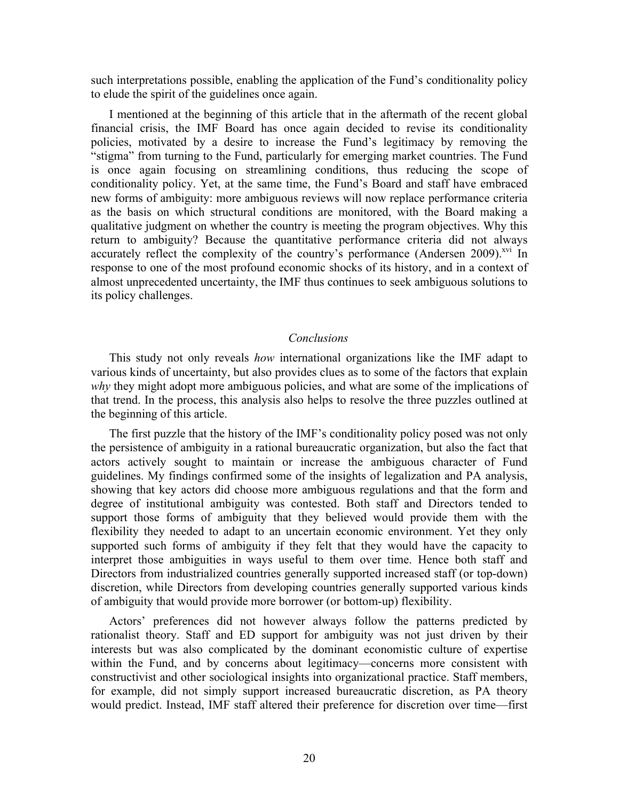such interpretations possible, enabling the application of the Fund's conditionality policy to elude the spirit of the guidelines once again.

I mentioned at the beginning of this article that in the aftermath of the recent global financial crisis, the IMF Board has once again decided to revise its conditionality policies, motivated by a desire to increase the Fund's legitimacy by removing the "stigma" from turning to the Fund, particularly for emerging market countries. The Fund is once again focusing on streamlining conditions, thus reducing the scope of conditionality policy. Yet, at the same time, the Fund's Board and staff have embraced new forms of ambiguity: more ambiguous reviews will now replace performance criteria as the basis on which structural conditions are monitored, with the Board making a qualitative judgment on whether the country is meeting the program objectives. Why this return to ambiguity? Because the quantitative performance criteria did not always accurately reflect the complexity of the country's performance (Andersen 2009).<sup>xvi</sup> In response to one of the most profound economic shocks of its history, and in a context of almost unprecedented uncertainty, the IMF thus continues to seek ambiguous solutions to its policy challenges.

#### *Conclusions*

This study not only reveals *how* international organizations like the IMF adapt to various kinds of uncertainty, but also provides clues as to some of the factors that explain *why* they might adopt more ambiguous policies, and what are some of the implications of that trend. In the process, this analysis also helps to resolve the three puzzles outlined at the beginning of this article.

The first puzzle that the history of the IMF's conditionality policy posed was not only the persistence of ambiguity in a rational bureaucratic organization, but also the fact that actors actively sought to maintain or increase the ambiguous character of Fund guidelines. My findings confirmed some of the insights of legalization and PA analysis, showing that key actors did choose more ambiguous regulations and that the form and degree of institutional ambiguity was contested. Both staff and Directors tended to support those forms of ambiguity that they believed would provide them with the flexibility they needed to adapt to an uncertain economic environment. Yet they only supported such forms of ambiguity if they felt that they would have the capacity to interpret those ambiguities in ways useful to them over time. Hence both staff and Directors from industrialized countries generally supported increased staff (or top-down) discretion, while Directors from developing countries generally supported various kinds of ambiguity that would provide more borrower (or bottom-up) flexibility.

Actors' preferences did not however always follow the patterns predicted by rationalist theory. Staff and ED support for ambiguity was not just driven by their interests but was also complicated by the dominant economistic culture of expertise within the Fund, and by concerns about legitimacy—concerns more consistent with constructivist and other sociological insights into organizational practice. Staff members, for example, did not simply support increased bureaucratic discretion, as PA theory would predict. Instead, IMF staff altered their preference for discretion over time—first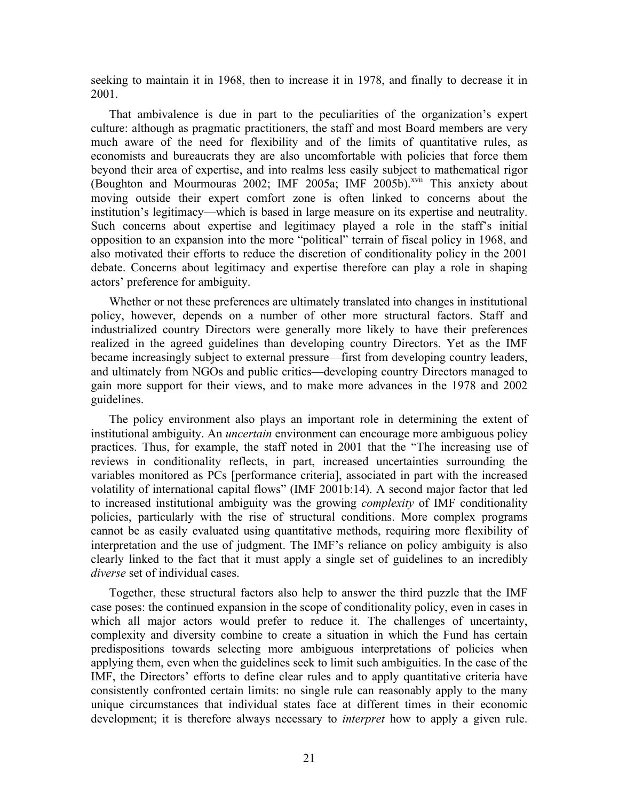seeking to maintain it in 1968, then to increase it in 1978, and finally to decrease it in 2001.

That ambivalence is due in part to the peculiarities of the organization's expert culture: although as pragmatic practitioners, the staff and most Board members are very much aware of the need for flexibility and of the limits of quantitative rules, as economists and bureaucrats they are also uncomfortable with policies that force them beyond their area of expertise, and into realms less easily subject to mathematical rigor (Boughton and Mourmouras 2002; IMF 2005a; IMF 2005b).<sup>xvii</sup> This anxiety about moving outside their expert comfort zone is often linked to concerns about the institution's legitimacy—which is based in large measure on its expertise and neutrality. Such concerns about expertise and legitimacy played a role in the staff's initial opposition to an expansion into the more "political" terrain of fiscal policy in 1968, and also motivated their efforts to reduce the discretion of conditionality policy in the 2001 debate. Concerns about legitimacy and expertise therefore can play a role in shaping actors' preference for ambiguity.

Whether or not these preferences are ultimately translated into changes in institutional policy, however, depends on a number of other more structural factors. Staff and industrialized country Directors were generally more likely to have their preferences realized in the agreed guidelines than developing country Directors. Yet as the IMF became increasingly subject to external pressure—first from developing country leaders, and ultimately from NGOs and public critics—developing country Directors managed to gain more support for their views, and to make more advances in the 1978 and 2002 guidelines.

The policy environment also plays an important role in determining the extent of institutional ambiguity. An *uncertain* environment can encourage more ambiguous policy practices. Thus, for example, the staff noted in 2001 that the "The increasing use of reviews in conditionality reflects, in part, increased uncertainties surrounding the variables monitored as PCs [performance criteria], associated in part with the increased volatility of international capital flows" (IMF 2001b:14). A second major factor that led to increased institutional ambiguity was the growing *complexity* of IMF conditionality policies, particularly with the rise of structural conditions. More complex programs cannot be as easily evaluated using quantitative methods, requiring more flexibility of interpretation and the use of judgment. The IMF's reliance on policy ambiguity is also clearly linked to the fact that it must apply a single set of guidelines to an incredibly *diverse* set of individual cases.

Together, these structural factors also help to answer the third puzzle that the IMF case poses: the continued expansion in the scope of conditionality policy, even in cases in which all major actors would prefer to reduce it. The challenges of uncertainty, complexity and diversity combine to create a situation in which the Fund has certain predispositions towards selecting more ambiguous interpretations of policies when applying them, even when the guidelines seek to limit such ambiguities. In the case of the IMF, the Directors' efforts to define clear rules and to apply quantitative criteria have consistently confronted certain limits: no single rule can reasonably apply to the many unique circumstances that individual states face at different times in their economic development; it is therefore always necessary to *interpret* how to apply a given rule.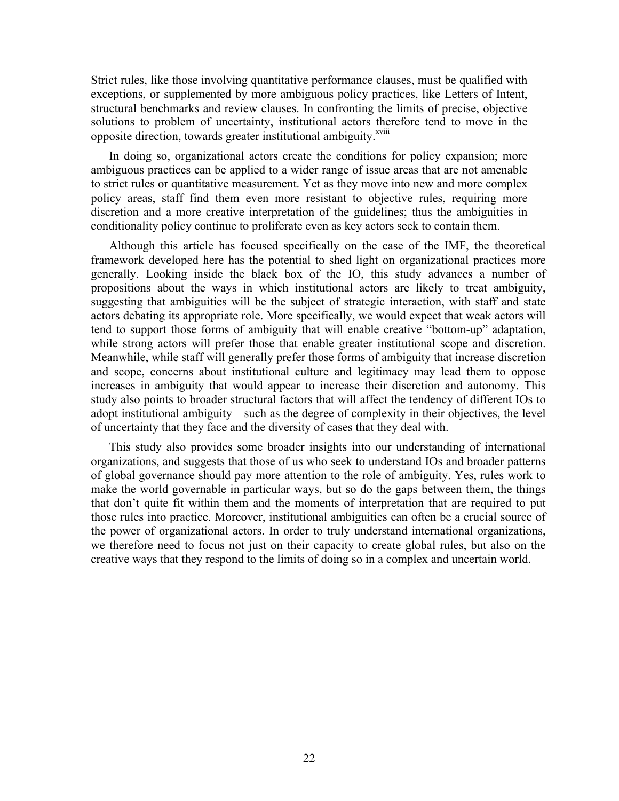Strict rules, like those involving quantitative performance clauses, must be qualified with exceptions, or supplemented by more ambiguous policy practices, like Letters of Intent, structural benchmarks and review clauses. In confronting the limits of precise, objective solutions to problem of uncertainty, institutional actors therefore tend to move in the opposite direction, towards greater institutional ambiguity.<sup>xviii</sup>

In doing so, organizational actors create the conditions for policy expansion; more ambiguous practices can be applied to a wider range of issue areas that are not amenable to strict rules or quantitative measurement. Yet as they move into new and more complex policy areas, staff find them even more resistant to objective rules, requiring more discretion and a more creative interpretation of the guidelines; thus the ambiguities in conditionality policy continue to proliferate even as key actors seek to contain them.

Although this article has focused specifically on the case of the IMF, the theoretical framework developed here has the potential to shed light on organizational practices more generally. Looking inside the black box of the IO, this study advances a number of propositions about the ways in which institutional actors are likely to treat ambiguity, suggesting that ambiguities will be the subject of strategic interaction, with staff and state actors debating its appropriate role. More specifically, we would expect that weak actors will tend to support those forms of ambiguity that will enable creative "bottom-up" adaptation, while strong actors will prefer those that enable greater institutional scope and discretion. Meanwhile, while staff will generally prefer those forms of ambiguity that increase discretion and scope, concerns about institutional culture and legitimacy may lead them to oppose increases in ambiguity that would appear to increase their discretion and autonomy. This study also points to broader structural factors that will affect the tendency of different IOs to adopt institutional ambiguity—such as the degree of complexity in their objectives, the level of uncertainty that they face and the diversity of cases that they deal with.

This study also provides some broader insights into our understanding of international organizations, and suggests that those of us who seek to understand IOs and broader patterns of global governance should pay more attention to the role of ambiguity. Yes, rules work to make the world governable in particular ways, but so do the gaps between them, the things that don't quite fit within them and the moments of interpretation that are required to put those rules into practice. Moreover, institutional ambiguities can often be a crucial source of the power of organizational actors. In order to truly understand international organizations, we therefore need to focus not just on their capacity to create global rules, but also on the creative ways that they respond to the limits of doing so in a complex and uncertain world.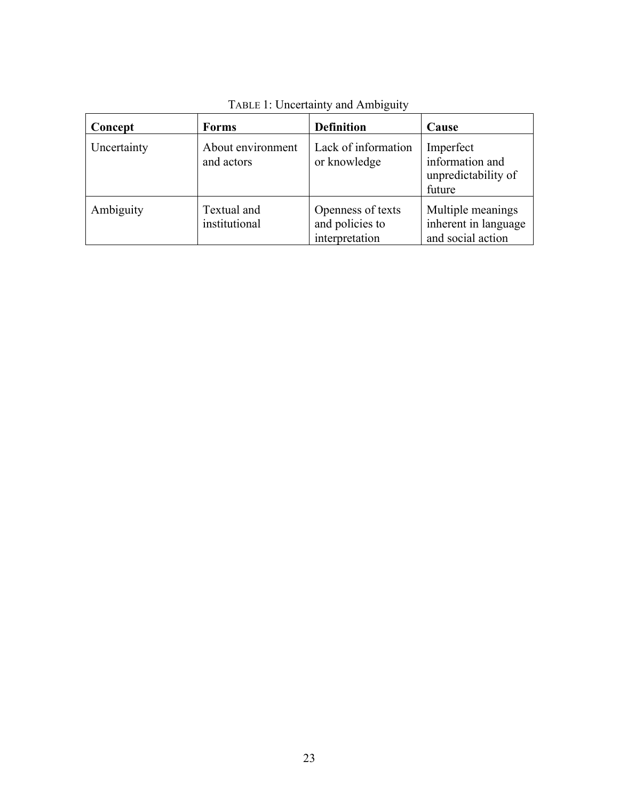| Concept     | <b>Forms</b>                    | <b>Definition</b>                                      | Cause                                                          |
|-------------|---------------------------------|--------------------------------------------------------|----------------------------------------------------------------|
| Uncertainty | About environment<br>and actors | Lack of information<br>or knowledge                    | Imperfect<br>information and<br>unpredictability of<br>future  |
| Ambiguity   | Textual and<br>institutional    | Openness of texts<br>and policies to<br>interpretation | Multiple meanings<br>inherent in language<br>and social action |

TABLE 1: Uncertainty and Ambiguity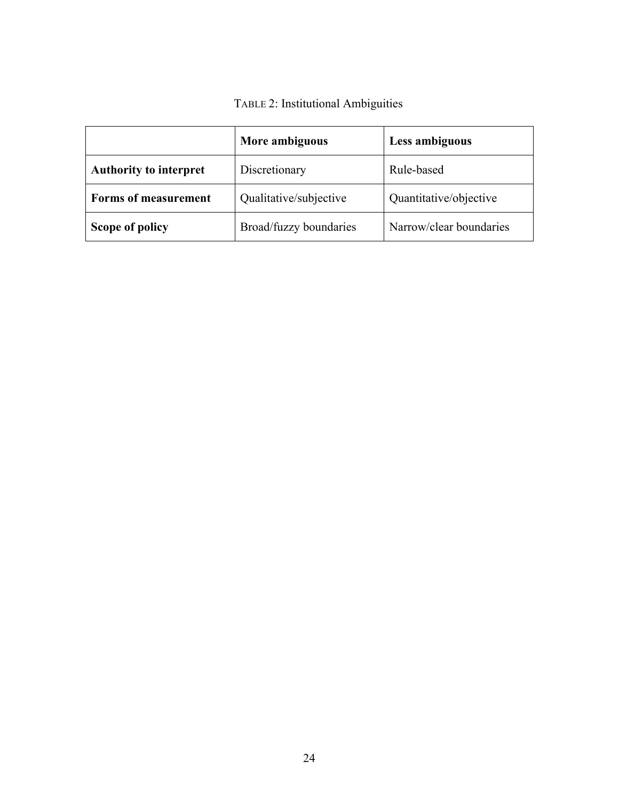|  | TABLE 2: Institutional Ambiguities |  |  |
|--|------------------------------------|--|--|
|--|------------------------------------|--|--|

|                               | More ambiguous         | Less ambiguous          |
|-------------------------------|------------------------|-------------------------|
| <b>Authority to interpret</b> | Discretionary          | Rule-based              |
| Forms of measurement          | Qualitative/subjective | Quantitative/objective  |
| Scope of policy               | Broad/fuzzy boundaries | Narrow/clear boundaries |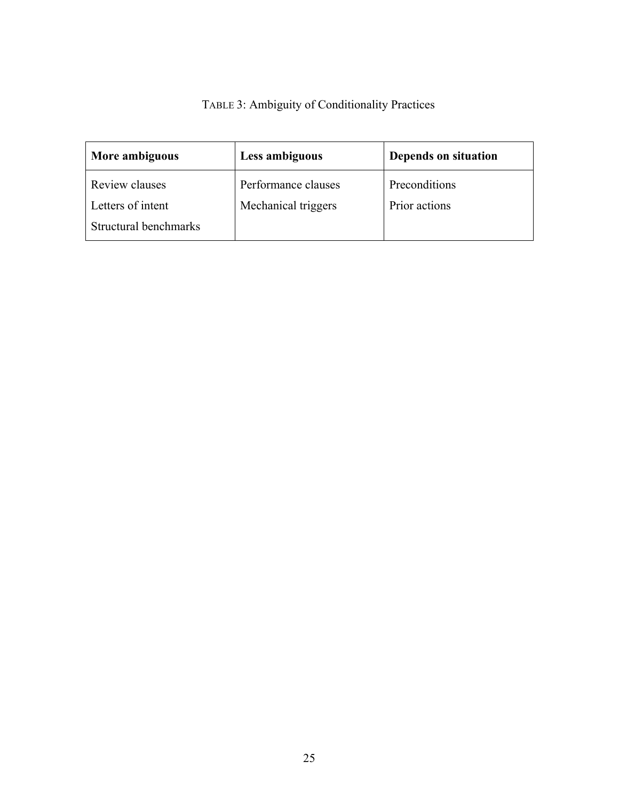# TABLE 3: Ambiguity of Conditionality Practices

| More ambiguous        | Less ambiguous      | Depends on situation |
|-----------------------|---------------------|----------------------|
| Review clauses        | Performance clauses | Preconditions        |
| Letters of intent     | Mechanical triggers | Prior actions        |
| Structural benchmarks |                     |                      |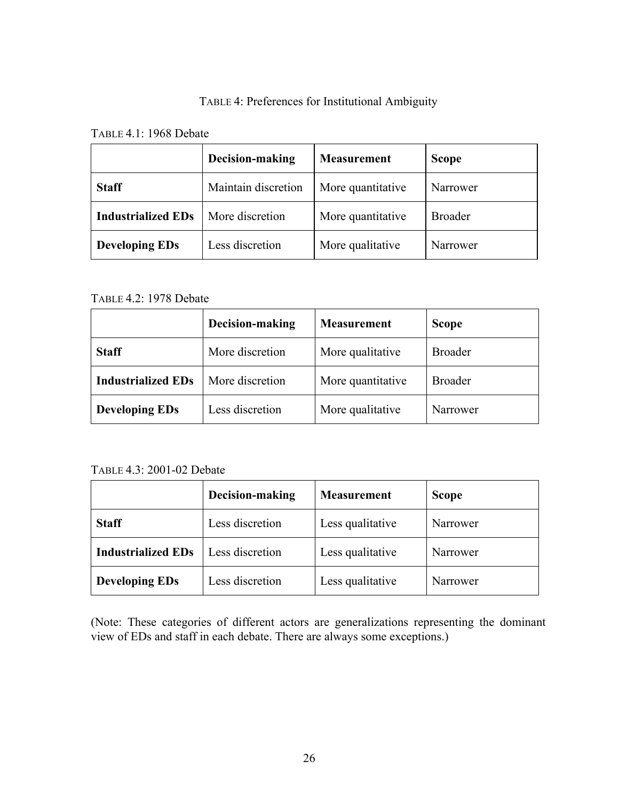### TABLE 4: Preferences for Institutional Ambiguity

|                           | Decision-making     | <b>Measurement</b> | <b>Scope</b>   |
|---------------------------|---------------------|--------------------|----------------|
| <b>Staff</b>              | Maintain discretion | More quantitative  | Narrower       |
| <b>Industrialized EDs</b> | More discretion     | More quantitative  | <b>Broader</b> |
| <b>Developing EDs</b>     | Less discretion     | More qualitative   | Narrower       |

TABLE 4.2: 1978 Debate

|                           | Decision-making | <b>Measurement</b> | <b>Scope</b>   |
|---------------------------|-----------------|--------------------|----------------|
| <b>Staff</b>              | More discretion | More qualitative   | <b>Broader</b> |
| <b>Industrialized EDs</b> | More discretion | More quantitative  | <b>Broader</b> |
| <b>Developing EDs</b>     | Less discretion | More qualitative   | Narrower       |

TABLE 4.3: 2001-02 Debate

|                           | Decision-making | <b>Measurement</b> | <b>Scope</b> |
|---------------------------|-----------------|--------------------|--------------|
| <b>Staff</b>              | Less discretion | Less qualitative   | Narrower     |
| <b>Industrialized EDs</b> | Less discretion | Less qualitative   | Narrower     |
| <b>Developing EDs</b>     | Less discretion | Less qualitative   | Narrower     |

(Note: These categories of different actors are generalizations representing the dominant view of EDs and staff in each debate. There are always some exceptions.)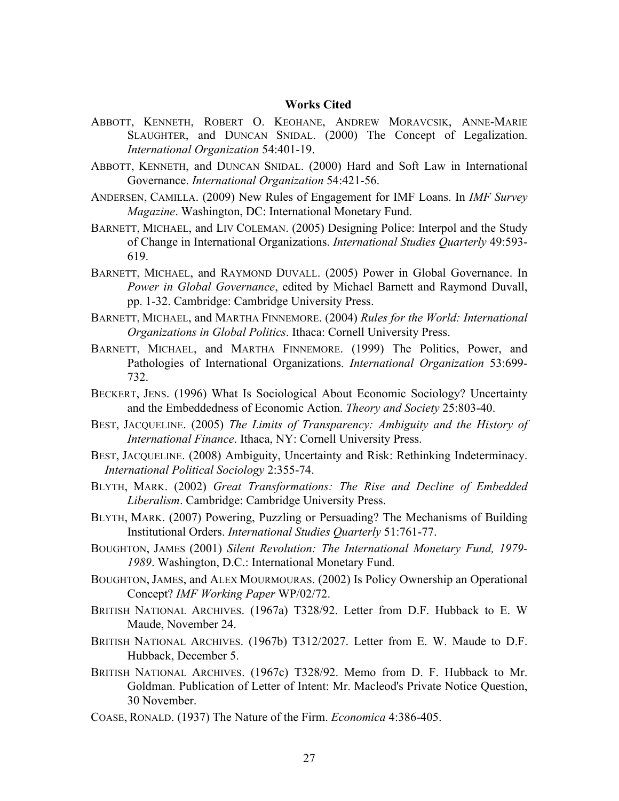#### **Works Cited**

- ABBOTT, KENNETH, ROBERT O. KEOHANE, ANDREW MORAVCSIK, ANNE-MARIE SLAUGHTER, and DUNCAN SNIDAL. (2000) The Concept of Legalization. *International Organization* 54:401-19.
- ABBOTT, KENNETH, and DUNCAN SNIDAL. (2000) Hard and Soft Law in International Governance. *International Organization* 54:421-56.
- ANDERSEN, CAMILLA. (2009) New Rules of Engagement for IMF Loans. In *IMF Survey Magazine*. Washington, DC: International Monetary Fund.
- BARNETT, MICHAEL, and LIV COLEMAN. (2005) Designing Police: Interpol and the Study of Change in International Organizations. *International Studies Quarterly* 49:593- 619.
- BARNETT, MICHAEL, and RAYMOND DUVALL. (2005) Power in Global Governance. In *Power in Global Governance*, edited by Michael Barnett and Raymond Duvall, pp. 1-32. Cambridge: Cambridge University Press.
- BARNETT, MICHAEL, and MARTHA FINNEMORE. (2004) *Rules for the World: International Organizations in Global Politics*. Ithaca: Cornell University Press.
- BARNETT, MICHAEL, and MARTHA FINNEMORE. (1999) The Politics, Power, and Pathologies of International Organizations. *International Organization* 53:699- 732.
- BECKERT, JENS. (1996) What Is Sociological About Economic Sociology? Uncertainty and the Embeddedness of Economic Action. *Theory and Society* 25:803-40.
- BEST, JACQUELINE. (2005) *The Limits of Transparency: Ambiguity and the History of International Finance*. Ithaca, NY: Cornell University Press.
- BEST, JACQUELINE. (2008) Ambiguity, Uncertainty and Risk: Rethinking Indeterminacy. *International Political Sociology* 2:355-74.
- BLYTH, MARK. (2002) *Great Transformations: The Rise and Decline of Embedded Liberalism*. Cambridge: Cambridge University Press.
- BLYTH, MARK. (2007) Powering, Puzzling or Persuading? The Mechanisms of Building Institutional Orders. *International Studies Quarterly* 51:761-77.
- BOUGHTON, JAMES (2001) *Silent Revolution: The International Monetary Fund, 1979- 1989*. Washington, D.C.: International Monetary Fund.
- BOUGHTON, JAMES, and ALEX MOURMOURAS. (2002) Is Policy Ownership an Operational Concept? *IMF Working Paper* WP/02/72.
- BRITISH NATIONAL ARCHIVES. (1967a) T328/92. Letter from D.F. Hubback to E. W Maude, November 24.
- BRITISH NATIONAL ARCHIVES. (1967b) T312/2027. Letter from E. W. Maude to D.F. Hubback, December 5.
- BRITISH NATIONAL ARCHIVES. (1967c) T328/92. Memo from D. F. Hubback to Mr. Goldman. Publication of Letter of Intent: Mr. Macleod's Private Notice Question, 30 November.
- COASE, RONALD. (1937) The Nature of the Firm. *Economica* 4:386-405.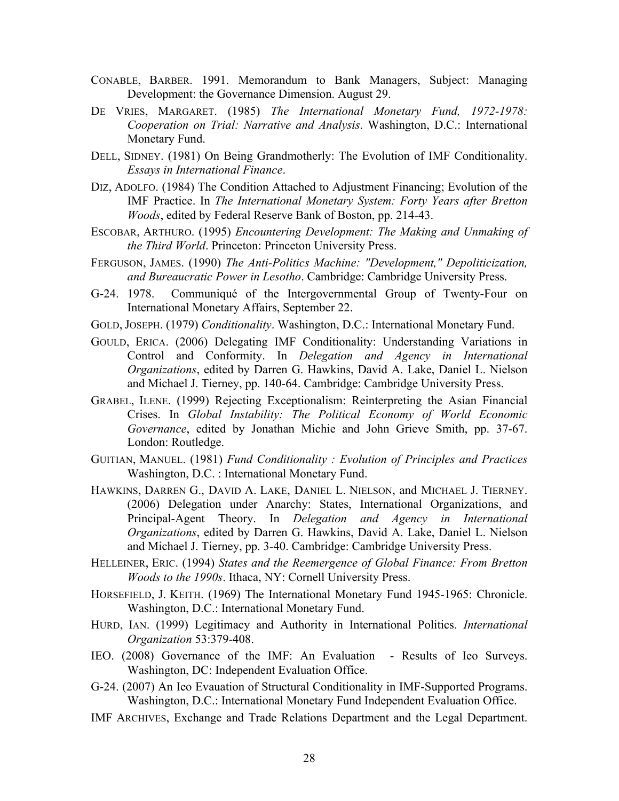- CONABLE, BARBER. 1991. Memorandum to Bank Managers, Subject: Managing Development: the Governance Dimension. August 29.
- DE VRIES, MARGARET. (1985) *The International Monetary Fund, 1972-1978: Cooperation on Trial: Narrative and Analysis*. Washington, D.C.: International Monetary Fund.
- DELL, SIDNEY. (1981) On Being Grandmotherly: The Evolution of IMF Conditionality. *Essays in International Finance*.
- DIZ, ADOLFO. (1984) The Condition Attached to Adjustment Financing; Evolution of the IMF Practice. In *The International Monetary System: Forty Years after Bretton Woods*, edited by Federal Reserve Bank of Boston, pp. 214-43.
- ESCOBAR, ARTHURO. (1995) *Encountering Development: The Making and Unmaking of the Third World*. Princeton: Princeton University Press.
- FERGUSON, JAMES. (1990) *The Anti-Politics Machine: "Development," Depoliticization, and Bureaucratic Power in Lesotho*. Cambridge: Cambridge University Press.
- G-24. 1978. Communiqué of the Intergovernmental Group of Twenty-Four on International Monetary Affairs, September 22.
- GOLD, JOSEPH. (1979) *Conditionality*. Washington, D.C.: International Monetary Fund.
- GOULD, ERICA. (2006) Delegating IMF Conditionality: Understanding Variations in Control and Conformity. In *Delegation and Agency in International Organizations*, edited by Darren G. Hawkins, David A. Lake, Daniel L. Nielson and Michael J. Tierney, pp. 140-64. Cambridge: Cambridge University Press.
- GRABEL, ILENE. (1999) Rejecting Exceptionalism: Reinterpreting the Asian Financial Crises. In *Global Instability: The Political Economy of World Economic Governance*, edited by Jonathan Michie and John Grieve Smith, pp. 37-67. London: Routledge.
- GUITIAN, MANUEL. (1981) *Fund Conditionality : Evolution of Principles and Practices*  Washington, D.C. : International Monetary Fund.
- HAWKINS, DARREN G., DAVID A. LAKE, DANIEL L. NIELSON, and MICHAEL J. TIERNEY. (2006) Delegation under Anarchy: States, International Organizations, and Principal-Agent Theory. In *Delegation and Agency in International Organizations*, edited by Darren G. Hawkins, David A. Lake, Daniel L. Nielson and Michael J. Tierney, pp. 3-40. Cambridge: Cambridge University Press.
- HELLEINER, ERIC. (1994) *States and the Reemergence of Global Finance: From Bretton Woods to the 1990s*. Ithaca, NY: Cornell University Press.
- HORSEFIELD, J. KEITH. (1969) The International Monetary Fund 1945-1965: Chronicle. Washington, D.C.: International Monetary Fund.
- HURD, IAN. (1999) Legitimacy and Authority in International Politics. *International Organization* 53:379-408.
- IEO. (2008) Governance of the IMF: An Evaluation Results of Ieo Surveys. Washington, DC: Independent Evaluation Office.
- G-24. (2007) An Ieo Evauation of Structural Conditionality in IMF-Supported Programs. Washington, D.C.: International Monetary Fund Independent Evaluation Office.
- IMF ARCHIVES, Exchange and Trade Relations Department and the Legal Department.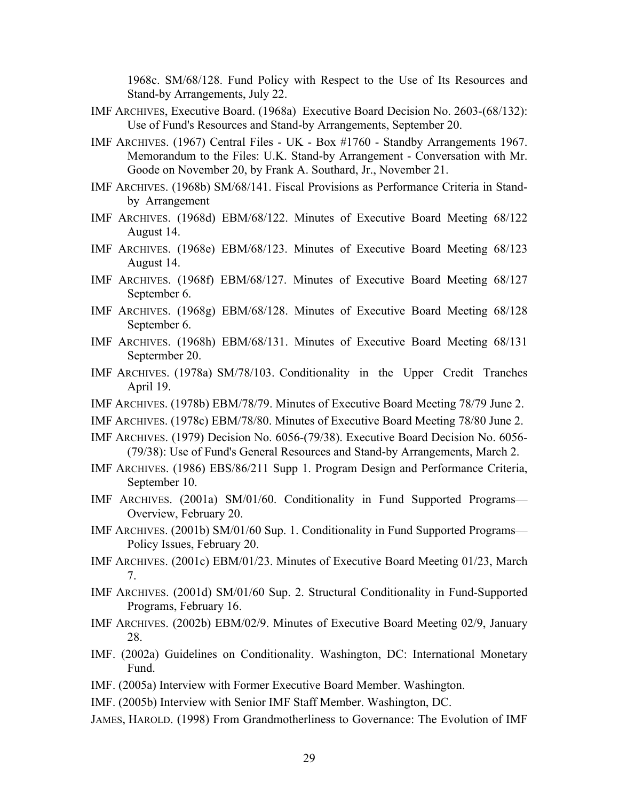1968c. SM/68/128. Fund Policy with Respect to the Use of Its Resources and Stand-by Arrangements, July 22.

- IMF ARCHIVES, Executive Board. (1968a) Executive Board Decision No. 2603-(68/132): Use of Fund's Resources and Stand-by Arrangements, September 20.
- IMF ARCHIVES. (1967) Central Files UK Box #1760 Standby Arrangements 1967. Memorandum to the Files: U.K. Stand-by Arrangement - Conversation with Mr. Goode on November 20, by Frank A. Southard, Jr., November 21.
- IMF ARCHIVES. (1968b) SM/68/141. Fiscal Provisions as Performance Criteria in Standby Arrangement
- IMF ARCHIVES. (1968d) EBM/68/122. Minutes of Executive Board Meeting 68/122 August 14.
- IMF ARCHIVES. (1968e) EBM/68/123. Minutes of Executive Board Meeting 68/123 August 14.
- IMF ARCHIVES. (1968f) EBM/68/127. Minutes of Executive Board Meeting 68/127 September 6.
- IMF ARCHIVES. (1968g) EBM/68/128. Minutes of Executive Board Meeting 68/128 September 6.
- IMF ARCHIVES. (1968h) EBM/68/131. Minutes of Executive Board Meeting 68/131 Septermber 20.
- IMF ARCHIVES. (1978a) SM/78/103. Conditionality in the Upper Credit Tranches April 19.
- IMF ARCHIVES. (1978b) EBM/78/79. Minutes of Executive Board Meeting 78/79 June 2.
- IMF ARCHIVES. (1978c) EBM/78/80. Minutes of Executive Board Meeting 78/80 June 2.
- IMF ARCHIVES. (1979) Decision No. 6056-(79/38). Executive Board Decision No. 6056- (79/38): Use of Fund's General Resources and Stand-by Arrangements, March 2.
- IMF ARCHIVES. (1986) EBS/86/211 Supp 1. Program Design and Performance Criteria, September 10.
- IMF ARCHIVES. (2001a) SM/01/60. Conditionality in Fund Supported Programs— Overview, February 20.
- IMF ARCHIVES. (2001b) SM/01/60 Sup. 1. Conditionality in Fund Supported Programs— Policy Issues, February 20.
- IMF ARCHIVES. (2001c) EBM/01/23. Minutes of Executive Board Meeting 01/23, March 7.
- IMF ARCHIVES. (2001d) SM/01/60 Sup. 2. Structural Conditionality in Fund-Supported Programs, February 16.
- IMF ARCHIVES. (2002b) EBM/02/9. Minutes of Executive Board Meeting 02/9, January 28.
- IMF. (2002a) Guidelines on Conditionality. Washington, DC: International Monetary Fund.
- IMF. (2005a) Interview with Former Executive Board Member. Washington.
- IMF. (2005b) Interview with Senior IMF Staff Member. Washington, DC.
- JAMES, HAROLD. (1998) From Grandmotherliness to Governance: The Evolution of IMF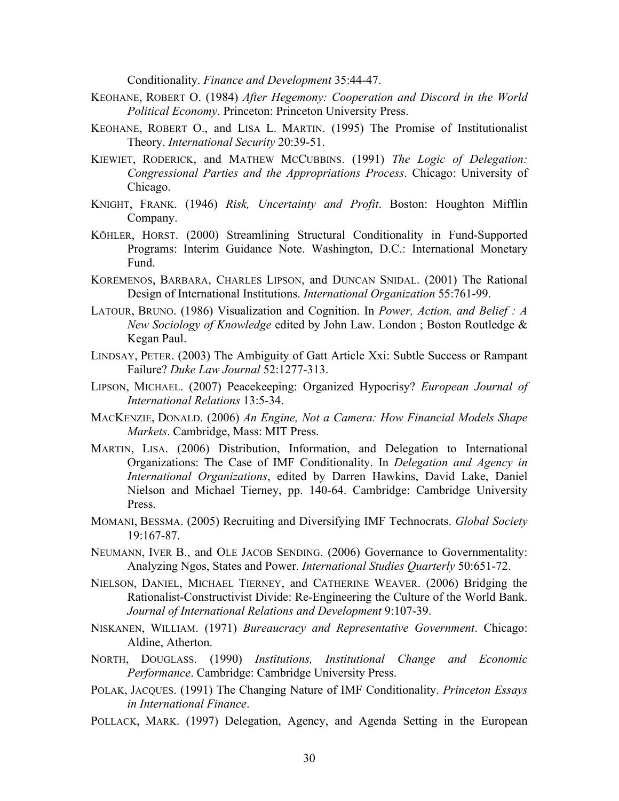Conditionality. *Finance and Development* 35:44-47.

- KEOHANE, ROBERT O. (1984) *After Hegemony: Cooperation and Discord in the World Political Economy*. Princeton: Princeton University Press.
- KEOHANE, ROBERT O., and LISA L. MARTIN. (1995) The Promise of Institutionalist Theory. *International Security* 20:39-51.
- KIEWIET, RODERICK, and MATHEW MCCUBBINS. (1991) *The Logic of Delegation: Congressional Parties and the Appropriations Process*. Chicago: University of Chicago.
- KNIGHT, FRANK. (1946) *Risk, Uncertainty and Profit*. Boston: Houghton Mifflin Company.
- KÖHLER, HORST. (2000) Streamlining Structural Conditionality in Fund-Supported Programs: Interim Guidance Note. Washington, D.C.: International Monetary Fund.
- KOREMENOS, BARBARA, CHARLES LIPSON, and DUNCAN SNIDAL. (2001) The Rational Design of International Institutions. *International Organization* 55:761-99.
- LATOUR, BRUNO. (1986) Visualization and Cognition. In *Power, Action, and Belief : A New Sociology of Knowledge* edited by John Law. London ; Boston Routledge & Kegan Paul.
- LINDSAY, PETER. (2003) The Ambiguity of Gatt Article Xxi: Subtle Success or Rampant Failure? *Duke Law Journal* 52:1277-313.
- LIPSON, MICHAEL. (2007) Peacekeeping: Organized Hypocrisy? *European Journal of International Relations* 13:5-34.
- MACKENZIE, DONALD. (2006) *An Engine, Not a Camera: How Financial Models Shape Markets*. Cambridge, Mass: MIT Press.
- MARTIN, LISA. (2006) Distribution, Information, and Delegation to International Organizations: The Case of IMF Conditionality. In *Delegation and Agency in International Organizations*, edited by Darren Hawkins, David Lake, Daniel Nielson and Michael Tierney, pp. 140-64. Cambridge: Cambridge University Press.
- MOMANI, BESSMA. (2005) Recruiting and Diversifying IMF Technocrats. *Global Society* 19:167-87.
- NEUMANN, IVER B., and OLE JACOB SENDING. (2006) Governance to Governmentality: Analyzing Ngos, States and Power. *International Studies Quarterly* 50:651-72.
- NIELSON, DANIEL, MICHAEL TIERNEY, and CATHERINE WEAVER. (2006) Bridging the Rationalist-Constructivist Divide: Re-Engineering the Culture of the World Bank. *Journal of International Relations and Development* 9:107-39.
- NISKANEN, WILLIAM. (1971) *Bureaucracy and Representative Government*. Chicago: Aldine, Atherton.
- NORTH, DOUGLASS. (1990) *Institutions, Institutional Change and Economic Performance*. Cambridge: Cambridge University Press.
- POLAK, JACQUES. (1991) The Changing Nature of IMF Conditionality. *Princeton Essays in International Finance*.
- POLLACK, MARK. (1997) Delegation, Agency, and Agenda Setting in the European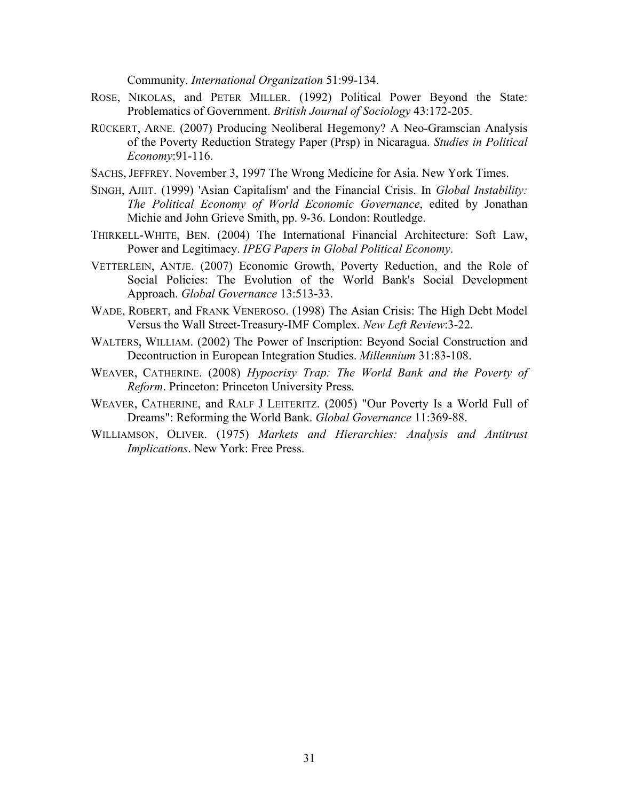Community. *International Organization* 51:99-134.

- ROSE, NIKOLAS, and PETER MILLER. (1992) Political Power Beyond the State: Problematics of Government. *British Journal of Sociology* 43:172-205.
- RÜCKERT, ARNE. (2007) Producing Neoliberal Hegemony? A Neo-Gramscian Analysis of the Poverty Reduction Strategy Paper (Prsp) in Nicaragua. *Studies in Political Economy*:91-116.
- SACHS, JEFFREY. November 3, 1997 The Wrong Medicine for Asia. New York Times.
- SINGH, AJIIT. (1999) 'Asian Capitalism' and the Financial Crisis. In *Global Instability: The Political Economy of World Economic Governance*, edited by Jonathan Michie and John Grieve Smith, pp. 9-36. London: Routledge.
- THIRKELL-WHITE, BEN. (2004) The International Financial Architecture: Soft Law, Power and Legitimacy. *IPEG Papers in Global Political Economy*.
- VETTERLEIN, ANTJE. (2007) Economic Growth, Poverty Reduction, and the Role of Social Policies: The Evolution of the World Bank's Social Development Approach. *Global Governance* 13:513-33.
- WADE, ROBERT, and FRANK VENEROSO. (1998) The Asian Crisis: The High Debt Model Versus the Wall Street-Treasury-IMF Complex. *New Left Review*:3-22.
- WALTERS, WILLIAM. (2002) The Power of Inscription: Beyond Social Construction and Decontruction in European Integration Studies. *Millennium* 31:83-108.
- WEAVER, CATHERINE. (2008) *Hypocrisy Trap: The World Bank and the Poverty of Reform*. Princeton: Princeton University Press.
- WEAVER, CATHERINE, and RALF J LEITERITZ. (2005) "Our Poverty Is a World Full of Dreams": Reforming the World Bank. *Global Governance* 11:369-88.
- WILLIAMSON, OLIVER. (1975) *Markets and Hierarchies: Analysis and Antitrust Implications*. New York: Free Press.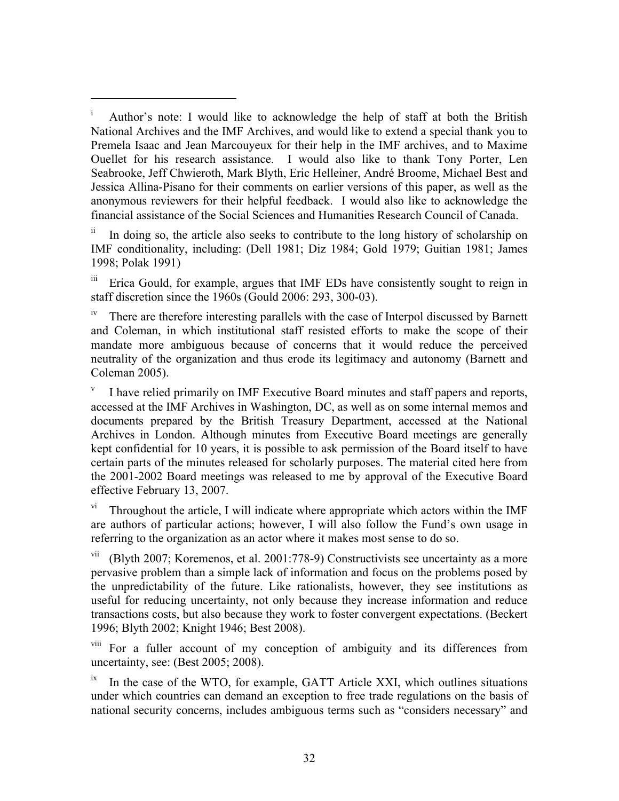Author's note: I would like to acknowledge the help of staff at both the British National Archives and the IMF Archives, and would like to extend a special thank you to Premela Isaac and Jean Marcouyeux for their help in the IMF archives, and to Maxime Ouellet for his research assistance. I would also like to thank Tony Porter, Len Seabrooke, Jeff Chwieroth, Mark Blyth, Eric Helleiner, André Broome, Michael Best and Jessica Allina-Pisano for their comments on earlier versions of this paper, as well as the anonymous reviewers for their helpful feedback. I would also like to acknowledge the financial assistance of the Social Sciences and Humanities Research Council of Canada.

 $\overline{a}$ 

 $\ddot{\text{ii}}$  In doing so, the article also seeks to contribute to the long history of scholarship on IMF conditionality, including: (Dell 1981; Diz 1984; Gold 1979; Guitian 1981; James 1998; Polak 1991)

iii Erica Gould, for example, argues that IMF EDs have consistently sought to reign in staff discretion since the 1960s (Gould 2006: 293, 300-03).

There are therefore interesting parallels with the case of Interpol discussed by Barnett and Coleman, in which institutional staff resisted efforts to make the scope of their mandate more ambiguous because of concerns that it would reduce the perceived neutrality of the organization and thus erode its legitimacy and autonomy (Barnett and Coleman 2005).

I have relied primarily on IMF Executive Board minutes and staff papers and reports, accessed at the IMF Archives in Washington, DC, as well as on some internal memos and documents prepared by the British Treasury Department, accessed at the National Archives in London. Although minutes from Executive Board meetings are generally kept confidential for 10 years, it is possible to ask permission of the Board itself to have certain parts of the minutes released for scholarly purposes. The material cited here from the 2001-2002 Board meetings was released to me by approval of the Executive Board effective February 13, 2007.

 $\overline{v}$ <sup>vi</sup> Throughout the article, I will indicate where appropriate which actors within the IMF are authors of particular actions; however, I will also follow the Fund's own usage in referring to the organization as an actor where it makes most sense to do so.

 $vii$  (Blyth 2007; Koremenos, et al. 2001:778-9) Constructivists see uncertainty as a more pervasive problem than a simple lack of information and focus on the problems posed by the unpredictability of the future. Like rationalists, however, they see institutions as useful for reducing uncertainty, not only because they increase information and reduce transactions costs, but also because they work to foster convergent expectations. (Beckert 1996; Blyth 2002; Knight 1946; Best 2008).

viii For a fuller account of my conception of ambiguity and its differences from uncertainty, see: (Best 2005; 2008).

In the case of the WTO, for example, GATT Article XXI, which outlines situations under which countries can demand an exception to free trade regulations on the basis of national security concerns, includes ambiguous terms such as "considers necessary" and